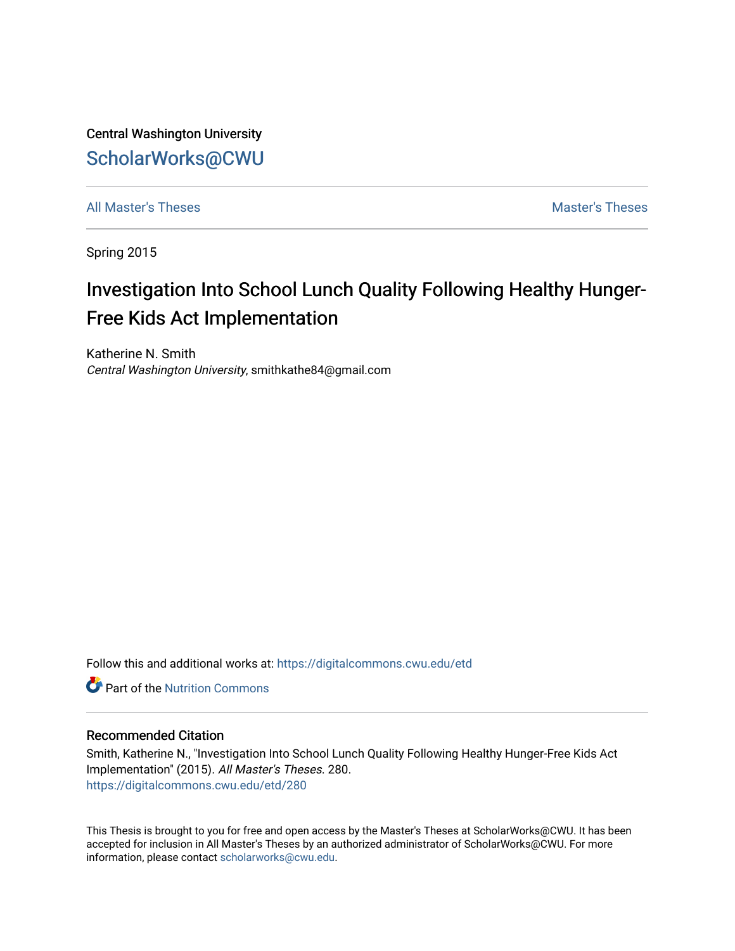Central Washington University [ScholarWorks@CWU](https://digitalcommons.cwu.edu/) 

[All Master's Theses](https://digitalcommons.cwu.edu/etd) and the set of the set of the set of the set of the set of the set of the set of the set of the set of the set of the set of the set of the set of the set of the set of the set of the set of the set of

Spring 2015

# Investigation Into School Lunch Quality Following Healthy Hunger-Free Kids Act Implementation

Katherine N. Smith Central Washington University, smithkathe84@gmail.com

Follow this and additional works at: [https://digitalcommons.cwu.edu/etd](https://digitalcommons.cwu.edu/etd?utm_source=digitalcommons.cwu.edu%2Fetd%2F280&utm_medium=PDF&utm_campaign=PDFCoverPages) 

**C** Part of the [Nutrition Commons](http://network.bepress.com/hgg/discipline/95?utm_source=digitalcommons.cwu.edu%2Fetd%2F280&utm_medium=PDF&utm_campaign=PDFCoverPages)

## Recommended Citation

Smith, Katherine N., "Investigation Into School Lunch Quality Following Healthy Hunger-Free Kids Act Implementation" (2015). All Master's Theses. 280. [https://digitalcommons.cwu.edu/etd/280](https://digitalcommons.cwu.edu/etd/280?utm_source=digitalcommons.cwu.edu%2Fetd%2F280&utm_medium=PDF&utm_campaign=PDFCoverPages) 

This Thesis is brought to you for free and open access by the Master's Theses at ScholarWorks@CWU. It has been accepted for inclusion in All Master's Theses by an authorized administrator of ScholarWorks@CWU. For more information, please contact [scholarworks@cwu.edu.](mailto:scholarworks@cwu.edu)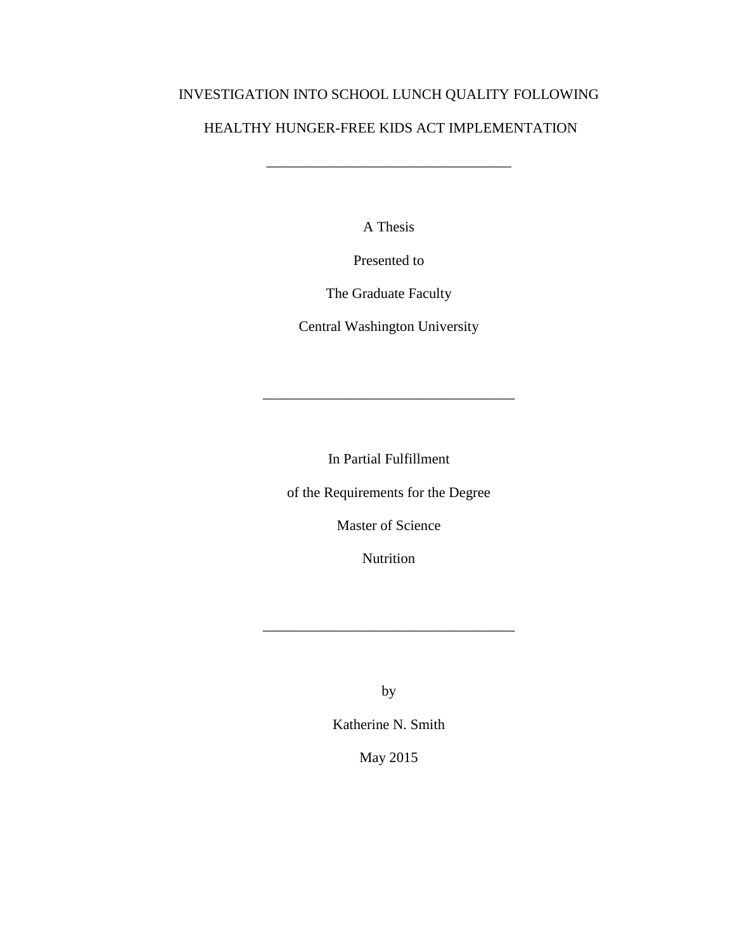# INVESTIGATION INTO SCHOOL LUNCH QUALITY FOLLOWING

# HEALTHY HUNGER-FREE KIDS ACT IMPLEMENTATION

\_\_\_\_\_\_\_\_\_\_\_\_\_\_\_\_\_\_\_\_\_\_\_\_\_\_\_\_\_\_\_\_\_\_

A Thesis

Presented to

The Graduate Faculty

Central Washington University

\_\_\_\_\_\_\_\_\_\_\_\_\_\_\_\_\_\_\_\_\_\_\_\_\_\_\_\_\_\_\_\_\_\_\_

In Partial Fulfillment

of the Requirements for the Degree

Master of Science

Nutrition

by

 $\mathcal{L}_\text{max}$  and  $\mathcal{L}_\text{max}$  and  $\mathcal{L}_\text{max}$  and  $\mathcal{L}_\text{max}$ 

Katherine N. Smith

May 2015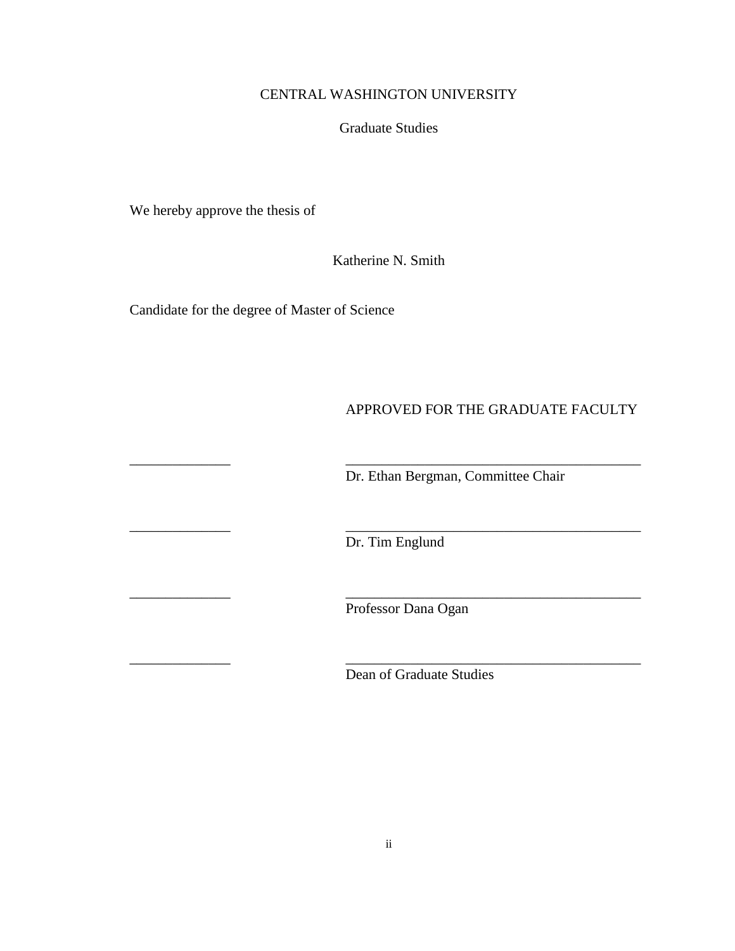# CENTRAL WASHINGTON UNIVERSITY

# Graduate Studies

We hereby approve the thesis of

Katherine N. Smith

Candidate for the degree of Master of Science

# APPROVED FOR THE GRADUATE FACULTY

Dr. Ethan Bergman, Committee Chair

Dr. Tim Englund

\_\_\_\_\_\_\_\_\_\_\_\_\_\_ \_\_\_\_\_\_\_\_\_\_\_\_\_\_\_\_\_\_\_\_\_\_\_\_\_\_\_\_\_\_\_\_\_\_\_\_\_\_\_\_\_

\_\_\_\_\_\_\_\_\_\_\_\_\_\_ \_\_\_\_\_\_\_\_\_\_\_\_\_\_\_\_\_\_\_\_\_\_\_\_\_\_\_\_\_\_\_\_\_\_\_\_\_\_\_\_\_

\_\_\_\_\_\_\_\_\_\_\_\_\_\_ \_\_\_\_\_\_\_\_\_\_\_\_\_\_\_\_\_\_\_\_\_\_\_\_\_\_\_\_\_\_\_\_\_\_\_\_\_\_\_\_\_

\_\_\_\_\_\_\_\_\_\_\_\_\_\_ \_\_\_\_\_\_\_\_\_\_\_\_\_\_\_\_\_\_\_\_\_\_\_\_\_\_\_\_\_\_\_\_\_\_\_\_\_\_\_\_\_

Professor Dana Ogan

Dean of Graduate Studies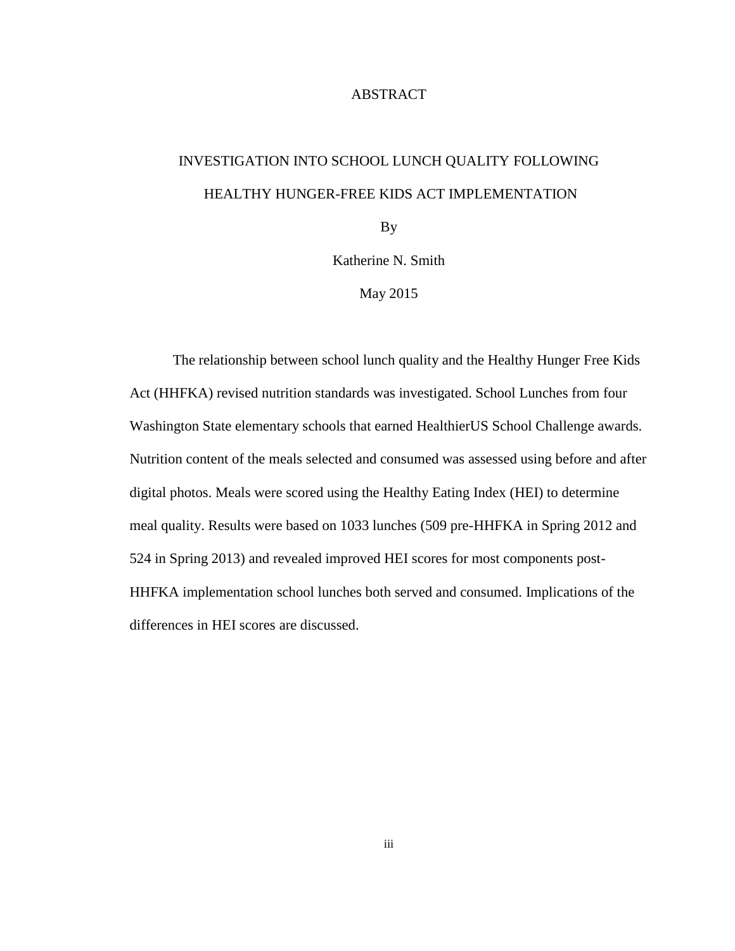# ABSTRACT

# INVESTIGATION INTO SCHOOL LUNCH QUALITY FOLLOWING HEALTHY HUNGER-FREE KIDS ACT IMPLEMENTATION

By

Katherine N. Smith

May 2015

The relationship between school lunch quality and the Healthy Hunger Free Kids Act (HHFKA) revised nutrition standards was investigated. School Lunches from four Washington State elementary schools that earned HealthierUS School Challenge awards. Nutrition content of the meals selected and consumed was assessed using before and after digital photos. Meals were scored using the Healthy Eating Index (HEI) to determine meal quality. Results were based on 1033 lunches (509 pre-HHFKA in Spring 2012 and 524 in Spring 2013) and revealed improved HEI scores for most components post-HHFKA implementation school lunches both served and consumed. Implications of the differences in HEI scores are discussed.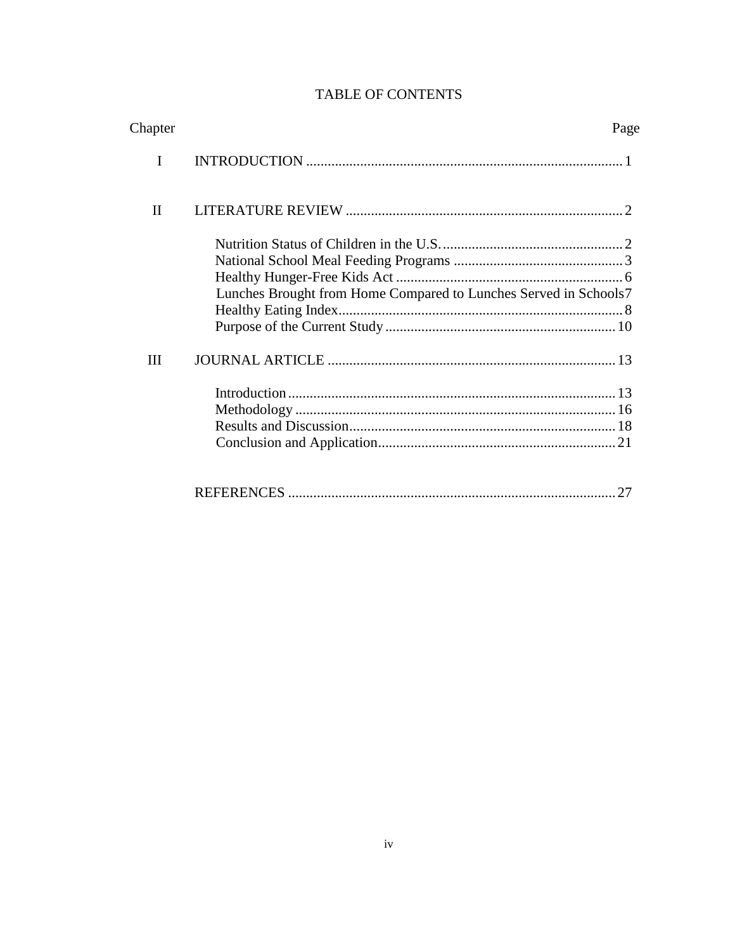| Chapter      | Page                                                             |
|--------------|------------------------------------------------------------------|
| I            |                                                                  |
| $\mathbf{I}$ |                                                                  |
| Ш            | Lunches Brought from Home Compared to Lunches Served in Schools7 |
|              | 27                                                               |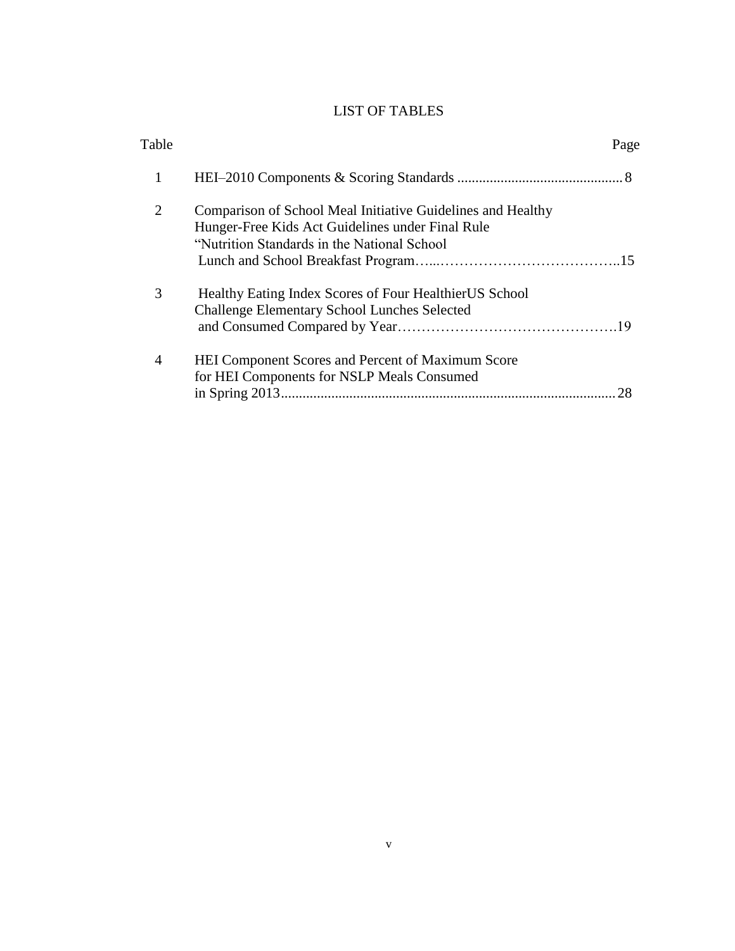# LIST OF TABLES

| Table |                                                                                                                                                                 | Page |
|-------|-----------------------------------------------------------------------------------------------------------------------------------------------------------------|------|
| 1     |                                                                                                                                                                 |      |
| 2     | Comparison of School Meal Initiative Guidelines and Healthy<br>Hunger-Free Kids Act Guidelines under Final Rule<br>"Nutrition Standards in the National School" |      |
| 3     | Healthy Eating Index Scores of Four Healthier US School<br><b>Challenge Elementary School Lunches Selected</b>                                                  |      |
| 4     | HEI Component Scores and Percent of Maximum Score<br>for HEI Components for NSLP Meals Consumed                                                                 | 28   |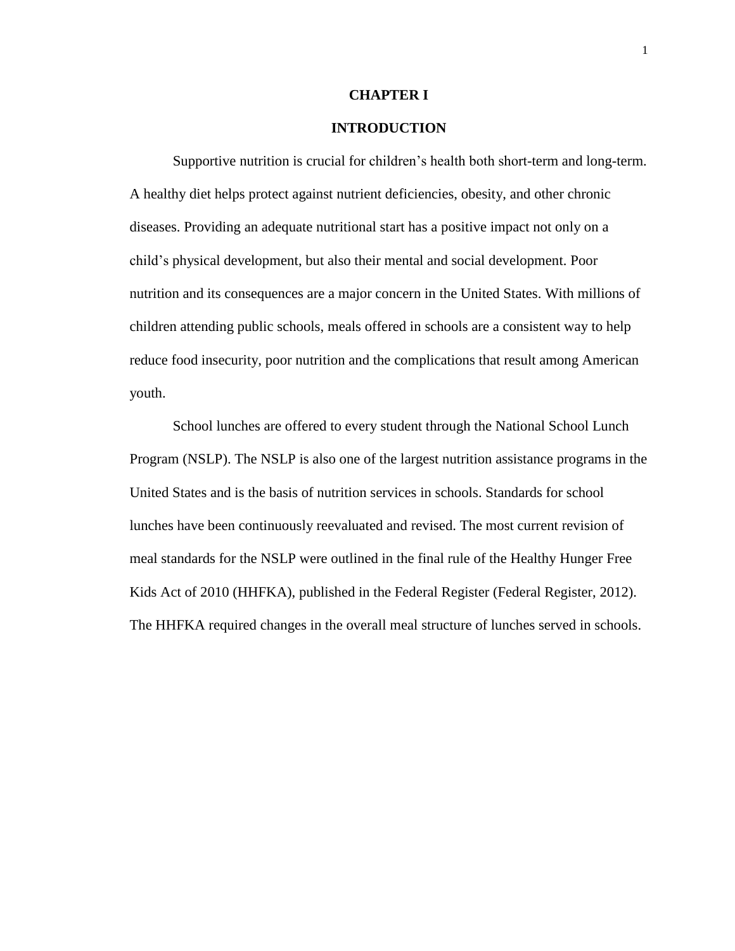#### **CHAPTER I**

# **INTRODUCTION**

Supportive nutrition is crucial for children's health both short-term and long-term. A healthy diet helps protect against nutrient deficiencies, obesity, and other chronic diseases. Providing an adequate nutritional start has a positive impact not only on a child's physical development, but also their mental and social development. Poor nutrition and its consequences are a major concern in the United States. With millions of children attending public schools, meals offered in schools are a consistent way to help reduce food insecurity, poor nutrition and the complications that result among American youth.

School lunches are offered to every student through the National School Lunch Program (NSLP). The NSLP is also one of the largest nutrition assistance programs in the United States and is the basis of nutrition services in schools. Standards for school lunches have been continuously reevaluated and revised. The most current revision of meal standards for the NSLP were outlined in the final rule of the Healthy Hunger Free Kids Act of 2010 (HHFKA), published in the Federal Register (Federal Register, 2012). The HHFKA required changes in the overall meal structure of lunches served in schools.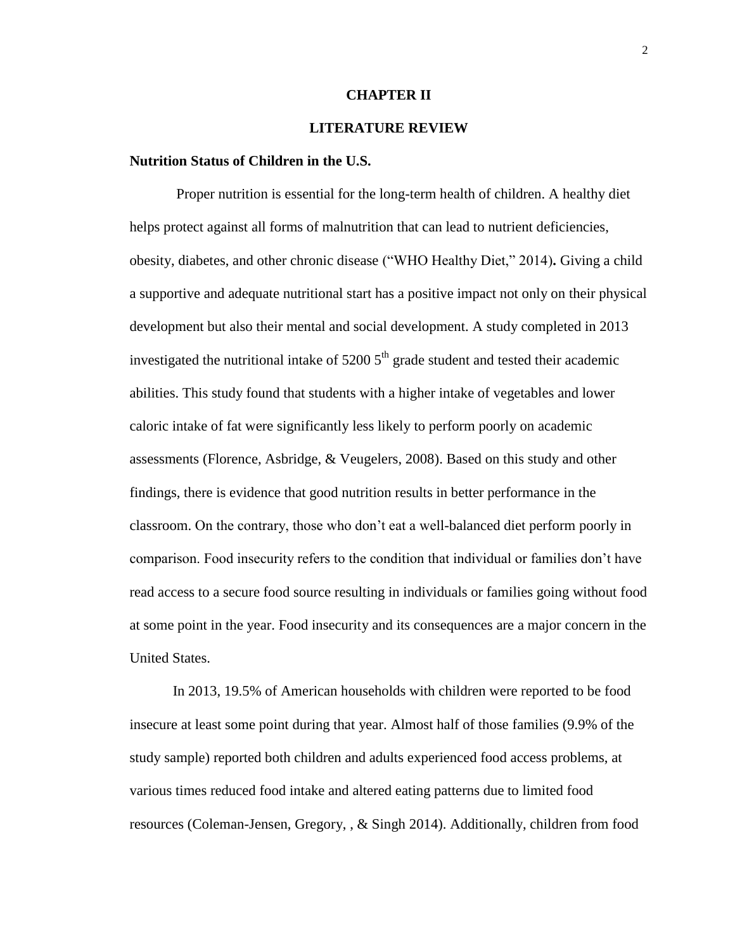#### **CHAPTER II**

# **LITERATURE REVIEW**

#### **Nutrition Status of Children in the U.S.**

Proper nutrition is essential for the long-term health of children. A healthy diet helps protect against all forms of malnutrition that can lead to nutrient deficiencies, obesity, diabetes, and other chronic disease ("WHO Healthy Diet," 2014)**.** Giving a child a supportive and adequate nutritional start has a positive impact not only on their physical development but also their mental and social development. A study completed in 2013 investigated the nutritional intake of  $52005<sup>th</sup>$  grade student and tested their academic abilities. This study found that students with a higher intake of vegetables and lower caloric intake of fat were significantly less likely to perform poorly on academic assessments (Florence, Asbridge, & Veugelers, 2008). Based on this study and other findings, there is evidence that good nutrition results in better performance in the classroom. On the contrary, those who don't eat a well-balanced diet perform poorly in comparison. Food insecurity refers to the condition that individual or families don't have read access to a secure food source resulting in individuals or families going without food at some point in the year. Food insecurity and its consequences are a major concern in the United States.

In 2013, 19.5% of American households with children were reported to be food insecure at least some point during that year. Almost half of those families (9.9% of the study sample) reported both children and adults experienced food access problems, at various times reduced food intake and altered eating patterns due to limited food resources (Coleman-Jensen, Gregory, , & Singh 2014). Additionally, children from food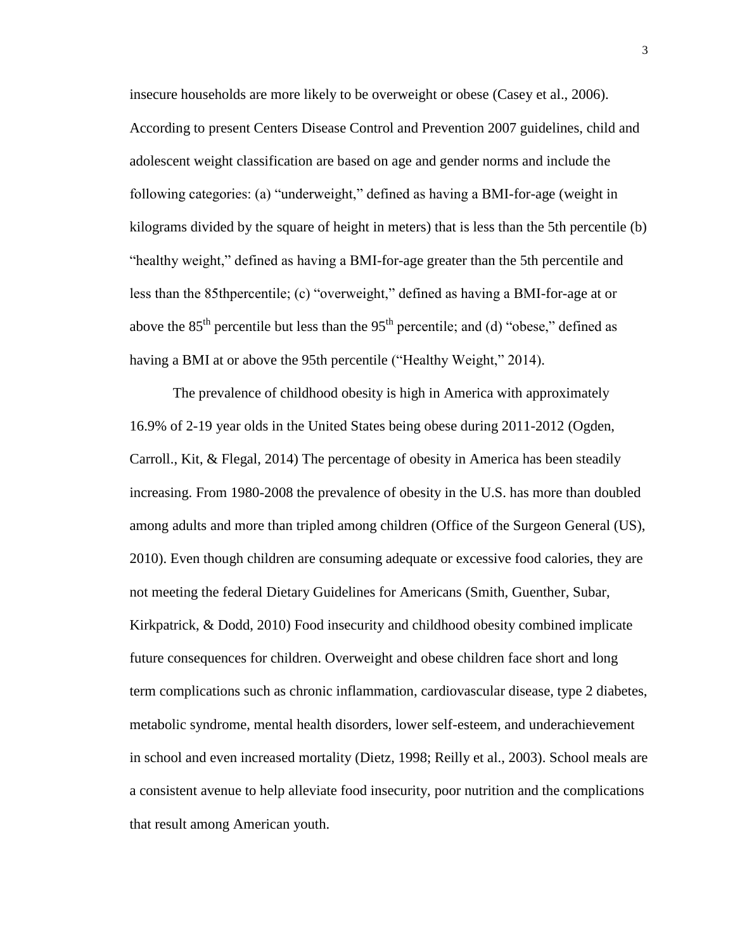insecure households are more likely to be overweight or obese (Casey et al., 2006). According to present Centers Disease Control and Prevention 2007 guidelines, child and adolescent weight classification are based on age and gender norms and include the following categories: (a) "underweight," defined as having a BMI-for-age (weight in kilograms divided by the square of height in meters) that is less than the 5th percentile (b) "healthy weight," defined as having a BMI-for-age greater than the 5th percentile and less than the 85thpercentile; (c) "overweight," defined as having a BMI-for-age at or above the  $85<sup>th</sup>$  percentile but less than the  $95<sup>th</sup>$  percentile; and (d) "obese," defined as having a BMI at or above the 95th percentile ("Healthy Weight," 2014).

The prevalence of childhood obesity is high in America with approximately 16.9% of 2-19 year olds in the United States being obese during 2011-2012 (Ogden, Carroll., Kit, & Flegal, 2014) The percentage of obesity in America has been steadily increasing. From 1980-2008 the prevalence of obesity in the U.S. has more than doubled among adults and more than tripled among children (Office of the Surgeon General (US), 2010). Even though children are consuming adequate or excessive food calories, they are not meeting the federal Dietary Guidelines for Americans (Smith, Guenther, Subar, Kirkpatrick, & Dodd, 2010) Food insecurity and childhood obesity combined implicate future consequences for children. Overweight and obese children face short and long term complications such as chronic inflammation, cardiovascular disease, type 2 diabetes, metabolic syndrome, mental health disorders, lower self-esteem, and underachievement in school and even increased mortality (Dietz, 1998; Reilly et al., 2003). School meals are a consistent avenue to help alleviate food insecurity, poor nutrition and the complications that result among American youth.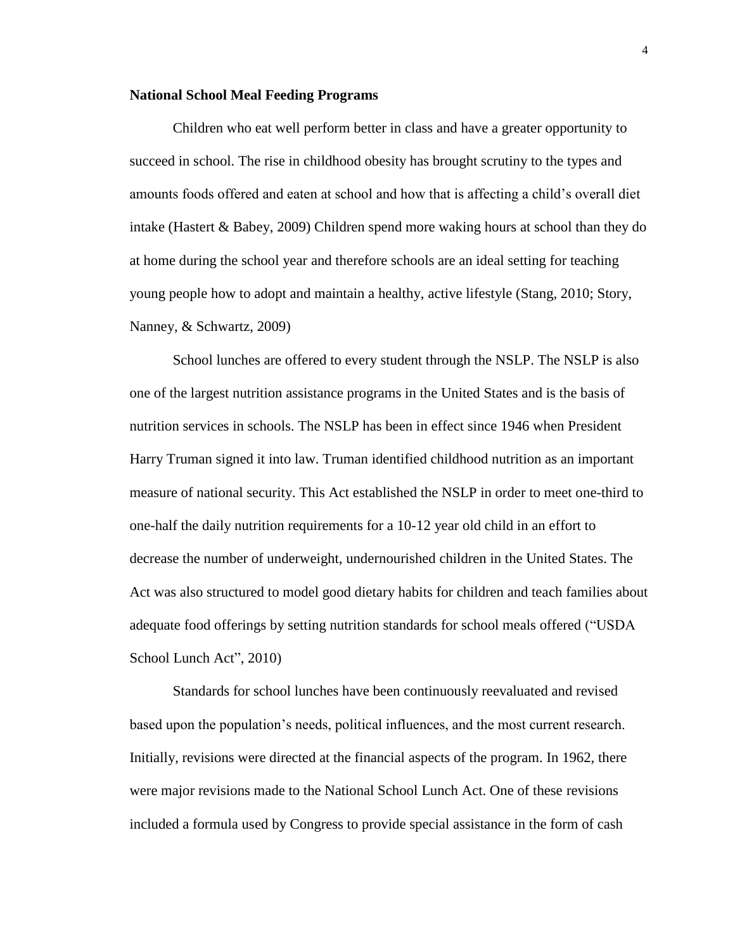#### **National School Meal Feeding Programs**

Children who eat well perform better in class and have a greater opportunity to succeed in school. The rise in childhood obesity has brought scrutiny to the types and amounts foods offered and eaten at school and how that is affecting a child's overall diet intake (Hastert & Babey, 2009) Children spend more waking hours at school than they do at home during the school year and therefore schools are an ideal setting for teaching young people how to adopt and maintain a healthy, active lifestyle (Stang, 2010; Story, Nanney, & Schwartz, 2009)

School lunches are offered to every student through the NSLP. The NSLP is also one of the largest nutrition assistance programs in the United States and is the basis of nutrition services in schools. The NSLP has been in effect since 1946 when President Harry Truman signed it into law. Truman identified childhood nutrition as an important measure of national security. This Act established the NSLP in order to meet one-third to one-half the daily nutrition requirements for a 10-12 year old child in an effort to decrease the number of underweight, undernourished children in the United States. The Act was also structured to model good dietary habits for children and teach families about adequate food offerings by setting nutrition standards for school meals offered ("USDA School Lunch Act", 2010)

Standards for school lunches have been continuously reevaluated and revised based upon the population's needs, political influences, and the most current research. Initially, revisions were directed at the financial aspects of the program. In 1962, there were major revisions made to the National School Lunch Act. One of these revisions included a formula used by Congress to provide special assistance in the form of cash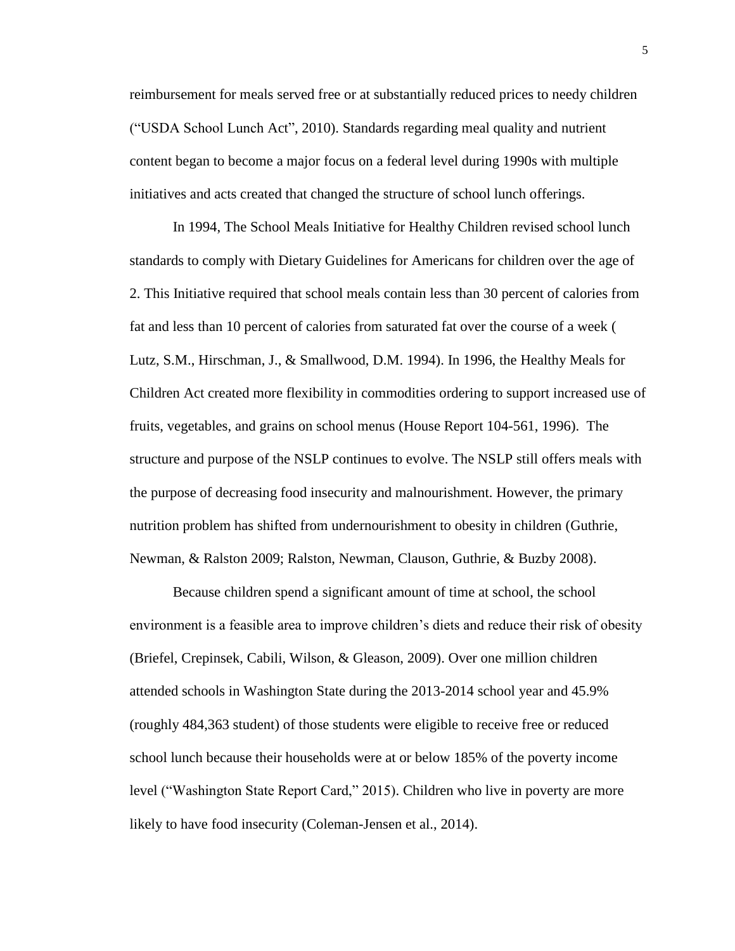reimbursement for meals served free or at substantially reduced prices to needy children ("USDA School Lunch Act", 2010). Standards regarding meal quality and nutrient content began to become a major focus on a federal level during 1990s with multiple initiatives and acts created that changed the structure of school lunch offerings.

In 1994, The School Meals Initiative for Healthy Children revised school lunch standards to comply with Dietary Guidelines for Americans for children over the age of 2. This Initiative required that school meals contain less than 30 percent of calories from fat and less than 10 percent of calories from saturated fat over the course of a week ( Lutz, S.M., Hirschman, J., & Smallwood, D.M. 1994). In 1996, the Healthy Meals for Children Act created more flexibility in commodities ordering to support increased use of fruits, vegetables, and grains on school menus (House Report 104-561, 1996). The structure and purpose of the NSLP continues to evolve. The NSLP still offers meals with the purpose of decreasing food insecurity and malnourishment. However, the primary nutrition problem has shifted from undernourishment to obesity in children (Guthrie, Newman, & Ralston 2009; Ralston, Newman, Clauson, Guthrie, & Buzby 2008).

Because children spend a significant amount of time at school, the school environment is a feasible area to improve children's diets and reduce their risk of obesity (Briefel, Crepinsek, Cabili, Wilson, & Gleason, 2009). Over one million children attended schools in Washington State during the 2013-2014 school year and 45.9% (roughly 484,363 student) of those students were eligible to receive free or reduced school lunch because their households were at or below 185% of the poverty income level ("Washington State Report Card," 2015). Children who live in poverty are more likely to have food insecurity (Coleman-Jensen et al., 2014).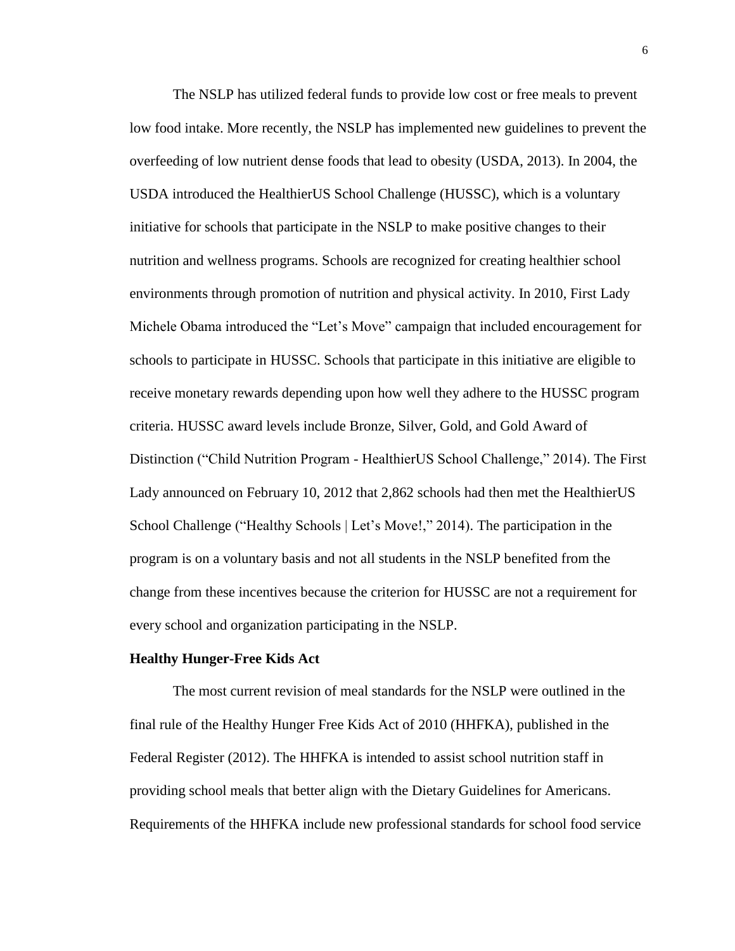The NSLP has utilized federal funds to provide low cost or free meals to prevent low food intake. More recently, the NSLP has implemented new guidelines to prevent the overfeeding of low nutrient dense foods that lead to obesity (USDA, 2013). In 2004, the USDA introduced the HealthierUS School Challenge (HUSSC), which is a voluntary initiative for schools that participate in the NSLP to make positive changes to their nutrition and wellness programs. Schools are recognized for creating healthier school environments through promotion of nutrition and physical activity. In 2010, First Lady Michele Obama introduced the "Let's Move" campaign that included encouragement for schools to participate in HUSSC. Schools that participate in this initiative are eligible to receive monetary rewards depending upon how well they adhere to the HUSSC program criteria. HUSSC award levels include Bronze, Silver, Gold, and Gold Award of Distinction ("Child Nutrition Program - HealthierUS School Challenge," 2014). The First Lady announced on February 10, 2012 that 2,862 schools had then met the HealthierUS School Challenge ("Healthy Schools | Let's Move!," 2014). The participation in the program is on a voluntary basis and not all students in the NSLP benefited from the change from these incentives because the criterion for HUSSC are not a requirement for every school and organization participating in the NSLP.

#### **Healthy Hunger-Free Kids Act**

The most current revision of meal standards for the NSLP were outlined in the final rule of the Healthy Hunger Free Kids Act of 2010 (HHFKA), published in the Federal Register (2012). The HHFKA is intended to assist school nutrition staff in providing school meals that better align with the Dietary Guidelines for Americans. Requirements of the HHFKA include new professional standards for school food service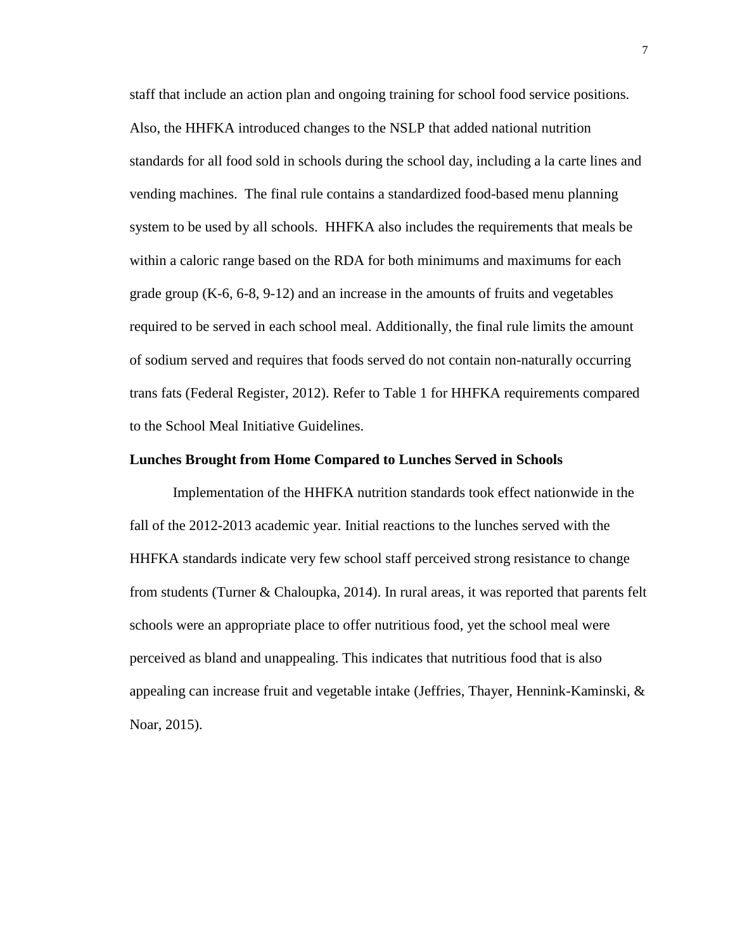staff that include an action plan and ongoing training for school food service positions. Also, the HHFKA introduced changes to the NSLP that added national nutrition standards for all food sold in schools during the school day, including a la carte lines and vending machines. The final rule contains a standardized food-based menu planning system to be used by all schools. HHFKA also includes the requirements that meals be within a caloric range based on the RDA for both minimums and maximums for each grade group (K-6, 6-8, 9-12) and an increase in the amounts of fruits and vegetables required to be served in each school meal. Additionally, the final rule limits the amount of sodium served and requires that foods served do not contain non-naturally occurring trans fats (Federal Register, 2012). Refer to Table 1 for HHFKA requirements compared to the School Meal Initiative Guidelines.

#### **Lunches Brought from Home Compared to Lunches Served in Schools**

Implementation of the HHFKA nutrition standards took effect nationwide in the fall of the 2012-2013 academic year. Initial reactions to the lunches served with the HHFKA standards indicate very few school staff perceived strong resistance to change from students (Turner & Chaloupka, 2014). In rural areas, it was reported that parents felt schools were an appropriate place to offer nutritious food, yet the school meal were perceived as bland and unappealing. This indicates that nutritious food that is also appealing can increase fruit and vegetable intake (Jeffries, Thayer, Hennink-Kaminski,  $\&$ Noar, 2015).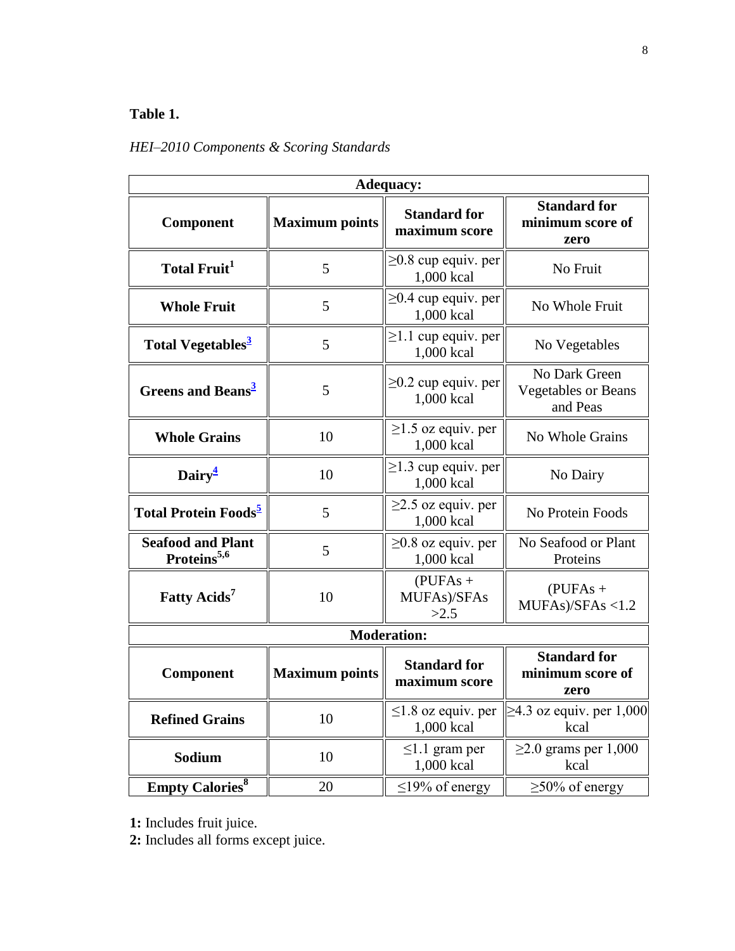# **Table 1.**

# *HEI–2010 Components & Scoring Standards*

| <b>Adequacy:</b>                                    |                       |                                         |                                                         |  |
|-----------------------------------------------------|-----------------------|-----------------------------------------|---------------------------------------------------------|--|
| Component                                           | <b>Maximum points</b> | <b>Standard for</b><br>maximum score    | <b>Standard for</b><br>minimum score of<br>zero         |  |
| <b>Total Fruit</b> <sup>1</sup>                     | 5                     | $\geq$ 0.8 cup equiv. per<br>1,000 kcal | No Fruit                                                |  |
| <b>Whole Fruit</b>                                  | 5                     | $\geq$ 0.4 cup equiv. per<br>1,000 kcal | No Whole Fruit                                          |  |
| Total Vegetables <sup>3</sup>                       | 5                     | $\geq$ 1.1 cup equiv. per<br>1,000 kcal | No Vegetables                                           |  |
| <b>Greens and Beans<sup>3</sup></b>                 | 5                     | $\geq$ 0.2 cup equiv. per<br>1,000 kcal | No Dark Green<br><b>Vegetables or Beans</b><br>and Peas |  |
| <b>Whole Grains</b>                                 | 10                    | $\geq$ 1.5 oz equiv. per<br>1,000 kcal  | No Whole Grains                                         |  |
| Dairy <sup>4</sup>                                  | 10                    | $\geq$ 1.3 cup equiv. per<br>1,000 kcal | No Dairy                                                |  |
| Total Protein Foods <sup>2</sup>                    | 5                     | $\geq$ 2.5 oz equiv. per<br>1,000 kcal  | No Protein Foods                                        |  |
| <b>Seafood and Plant</b><br>Proteins <sup>5,6</sup> | 5                     | $\geq$ 0.8 oz equiv. per<br>1,000 kcal  | No Seafood or Plant<br>Proteins                         |  |
| Fatty Acids <sup>7</sup>                            | 10                    | $(PUFAs +$<br>MUFAs)/SFAs<br>>2.5       | $(PUFAs +$<br>MUFAs)/SFAs < 1.2                         |  |
| <b>Moderation:</b>                                  |                       |                                         |                                                         |  |
| Component                                           | <b>Maximum points</b> | <b>Standard for</b><br>maximum score    | <b>Standard for</b><br>minimum score of<br>zero         |  |
| <b>Refined Grains</b>                               | 10                    | $\leq$ 1.8 oz equiv. per<br>1,000 kcal  | $\geq$ 4.3 oz equiv. per 1,000<br>kcal                  |  |
| Sodium                                              | 10                    | $\leq$ 1.1 gram per<br>1,000 kcal       | $\geq$ 2.0 grams per 1,000<br>kcal                      |  |
| <b>Empty Calories</b> <sup>8</sup>                  | 20                    | $\leq$ 19% of energy                    | $\geq$ 50% of energy                                    |  |

**1:** Includes fruit juice.

**2:** Includes all forms except juice.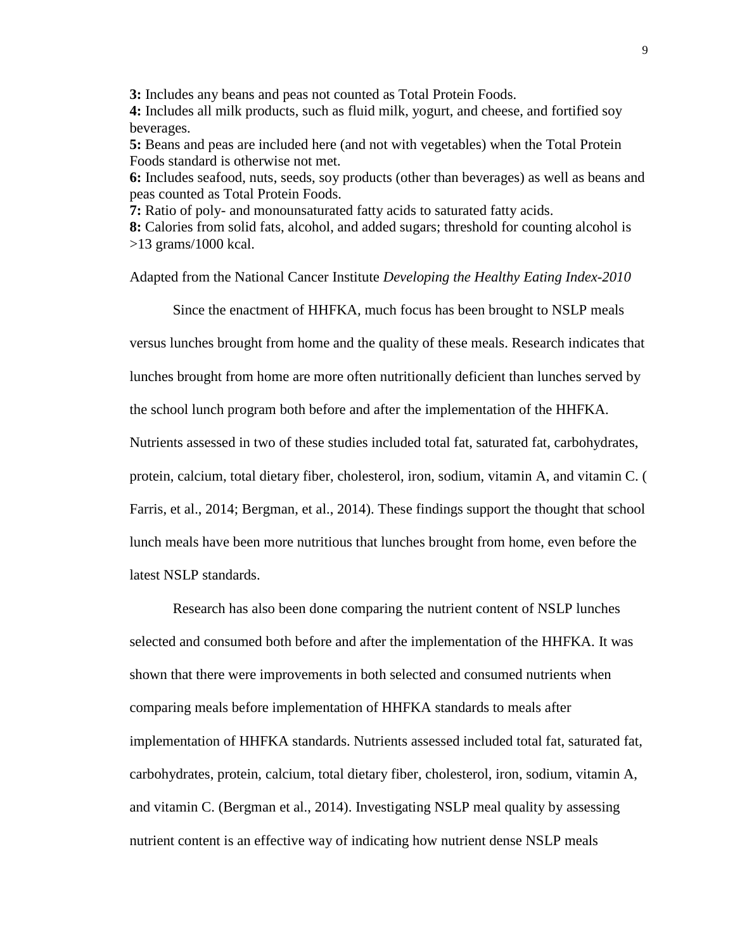**3:** Includes any beans and peas not counted as Total Protein Foods. **4:** Includes all milk products, such as fluid milk, yogurt, and cheese, and fortified soy beverages.

**5:** Beans and peas are included here (and not with vegetables) when the Total Protein Foods standard is otherwise not met.

**6:** Includes seafood, nuts, seeds, soy products (other than beverages) as well as beans and peas counted as Total Protein Foods.

**7:** Ratio of poly- and monounsaturated fatty acids to saturated fatty acids.

**8:** Calories from solid fats, alcohol, and added sugars; threshold for counting alcohol is >13 grams/1000 kcal.

Adapted from the National Cancer Institute *Developing the Healthy Eating Index-2010*

Since the enactment of HHFKA*,* much focus has been brought to NSLP meals

versus lunches brought from home and the quality of these meals. Research indicates that

lunches brought from home are more often nutritionally deficient than lunches served by

the school lunch program both before and after the implementation of the HHFKA.

Nutrients assessed in two of these studies included total fat, saturated fat, carbohydrates,

protein, calcium, total dietary fiber, cholesterol, iron, sodium, vitamin A, and vitamin C. (

Farris, et al., 2014; Bergman, et al., 2014). These findings support the thought that school

lunch meals have been more nutritious that lunches brought from home, even before the

latest NSLP standards.

Research has also been done comparing the nutrient content of NSLP lunches selected and consumed both before and after the implementation of the HHFKA. It was shown that there were improvements in both selected and consumed nutrients when comparing meals before implementation of HHFKA standards to meals after implementation of HHFKA standards. Nutrients assessed included total fat, saturated fat, carbohydrates, protein, calcium, total dietary fiber, cholesterol, iron, sodium, vitamin A, and vitamin C. (Bergman et al., 2014). Investigating NSLP meal quality by assessing nutrient content is an effective way of indicating how nutrient dense NSLP meals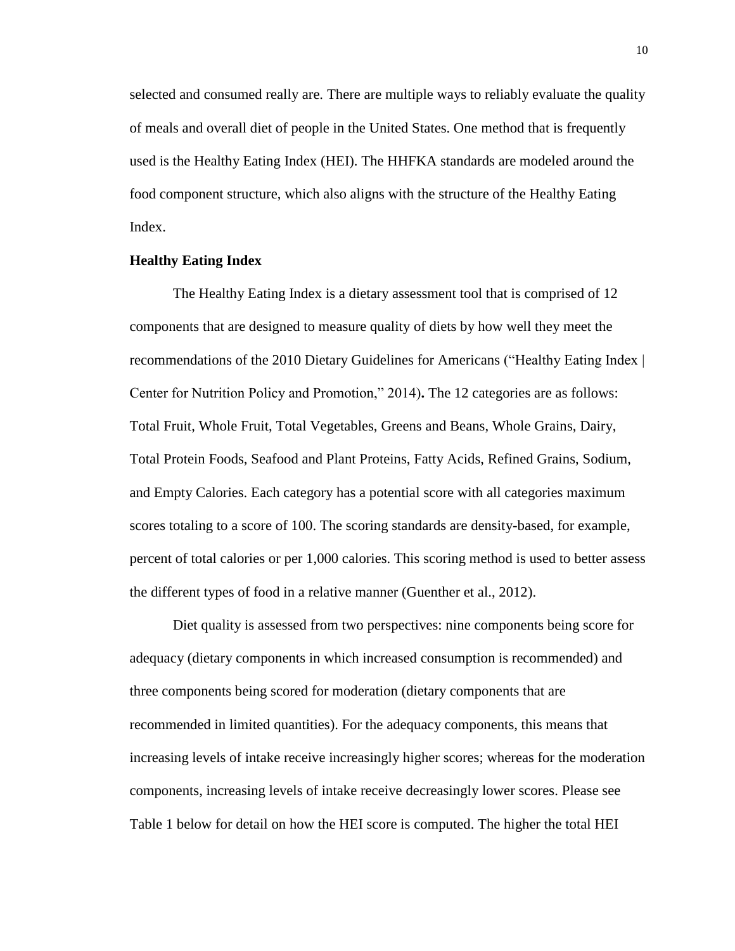selected and consumed really are. There are multiple ways to reliably evaluate the quality of meals and overall diet of people in the United States. One method that is frequently used is the Healthy Eating Index (HEI). The HHFKA standards are modeled around the food component structure, which also aligns with the structure of the Healthy Eating Index.

## **Healthy Eating Index**

The Healthy Eating Index is a dietary assessment tool that is comprised of 12 components that are designed to measure quality of diets by how well they meet the recommendations of the 2010 Dietary Guidelines for Americans ("Healthy Eating Index | Center for Nutrition Policy and Promotion," 2014)**.** The 12 categories are as follows: Total Fruit, Whole Fruit, Total Vegetables, Greens and Beans, Whole Grains, Dairy, Total Protein Foods, Seafood and Plant Proteins, Fatty Acids, Refined Grains, Sodium, and Empty Calories. Each category has a potential score with all categories maximum scores totaling to a score of 100. The scoring standards are density-based, for example, percent of total calories or per 1,000 calories. This scoring method is used to better assess the different types of food in a relative manner (Guenther et al., 2012).

Diet quality is assessed from two perspectives: nine components being score for adequacy (dietary components in which increased consumption is recommended) and three components being scored for moderation (dietary components that are recommended in limited quantities). For the adequacy components, this means that increasing levels of intake receive increasingly higher scores; whereas for the moderation components, increasing levels of intake receive decreasingly lower scores. Please see Table 1 below for detail on how the HEI score is computed. The higher the total HEI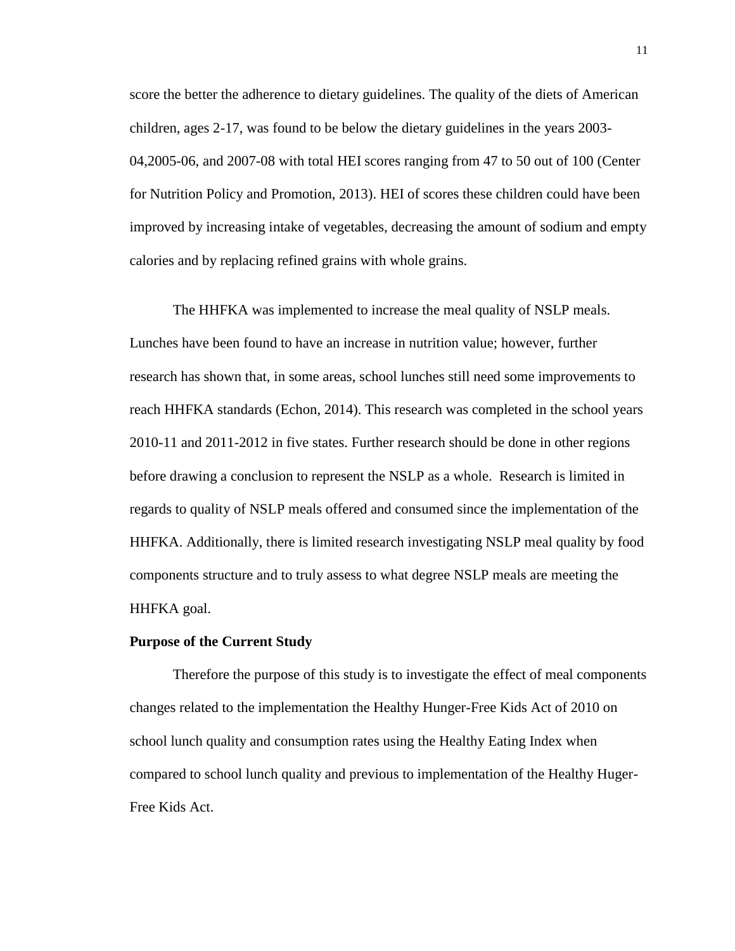score the better the adherence to dietary guidelines. The quality of the diets of American children, ages 2-17, was found to be below the dietary guidelines in the years 2003- 04,2005-06, and 2007-08 with total HEI scores ranging from 47 to 50 out of 100 (Center for Nutrition Policy and Promotion, 2013). HEI of scores these children could have been improved by increasing intake of vegetables, decreasing the amount of sodium and empty calories and by replacing refined grains with whole grains.

The HHFKA was implemented to increase the meal quality of NSLP meals. Lunches have been found to have an increase in nutrition value; however, further research has shown that, in some areas, school lunches still need some improvements to reach HHFKA standards (Echon, 2014). This research was completed in the school years 2010-11 and 2011-2012 in five states. Further research should be done in other regions before drawing a conclusion to represent the NSLP as a whole. Research is limited in regards to quality of NSLP meals offered and consumed since the implementation of the HHFKA. Additionally, there is limited research investigating NSLP meal quality by food components structure and to truly assess to what degree NSLP meals are meeting the HHFKA goal.

# **Purpose of the Current Study**

Therefore the purpose of this study is to investigate the effect of meal components changes related to the implementation the Healthy Hunger-Free Kids Act of 2010 on school lunch quality and consumption rates using the Healthy Eating Index when compared to school lunch quality and previous to implementation of the Healthy Huger-Free Kids Act.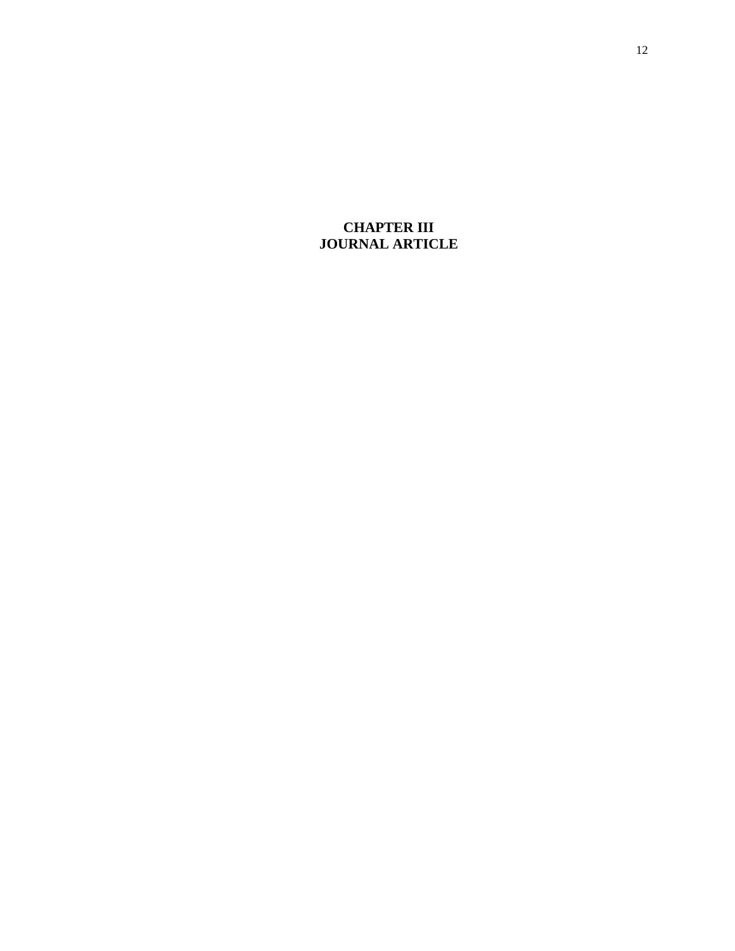# **CHAPTER III JOURNAL ARTICLE**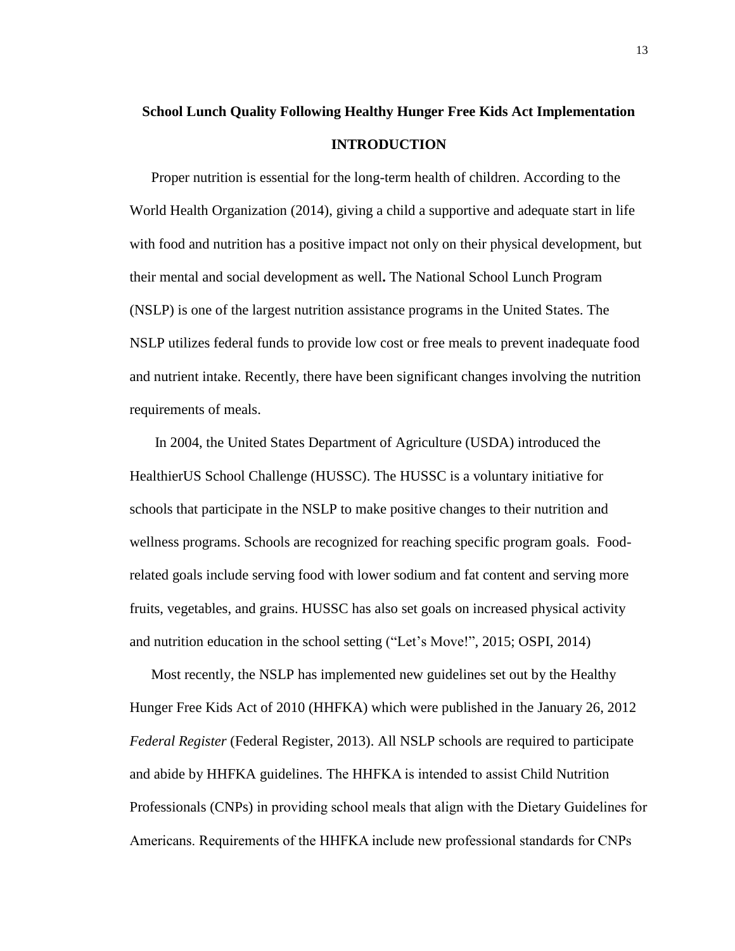# **School Lunch Quality Following Healthy Hunger Free Kids Act Implementation INTRODUCTION**

Proper nutrition is essential for the long-term health of children. According to the World Health Organization (2014), giving a child a supportive and adequate start in life with food and nutrition has a positive impact not only on their physical development, but their mental and social development as well**.** The National School Lunch Program (NSLP) is one of the largest nutrition assistance programs in the United States. The NSLP utilizes federal funds to provide low cost or free meals to prevent inadequate food and nutrient intake. Recently, there have been significant changes involving the nutrition requirements of meals.

In 2004, the United States Department of Agriculture (USDA) introduced the HealthierUS School Challenge (HUSSC). The HUSSC is a voluntary initiative for schools that participate in the NSLP to make positive changes to their nutrition and wellness programs. Schools are recognized for reaching specific program goals. Foodrelated goals include serving food with lower sodium and fat content and serving more fruits, vegetables, and grains. HUSSC has also set goals on increased physical activity and nutrition education in the school setting ("Let's Move!", 2015; OSPI, 2014)

Most recently, the NSLP has implemented new guidelines set out by the Healthy Hunger Free Kids Act of 2010 (HHFKA) which were published in the January 26, 2012 *Federal Register* (Federal Register, 2013). All NSLP schools are required to participate and abide by HHFKA guidelines. The HHFKA is intended to assist Child Nutrition Professionals (CNPs) in providing school meals that align with the Dietary Guidelines for Americans. Requirements of the HHFKA include new professional standards for CNPs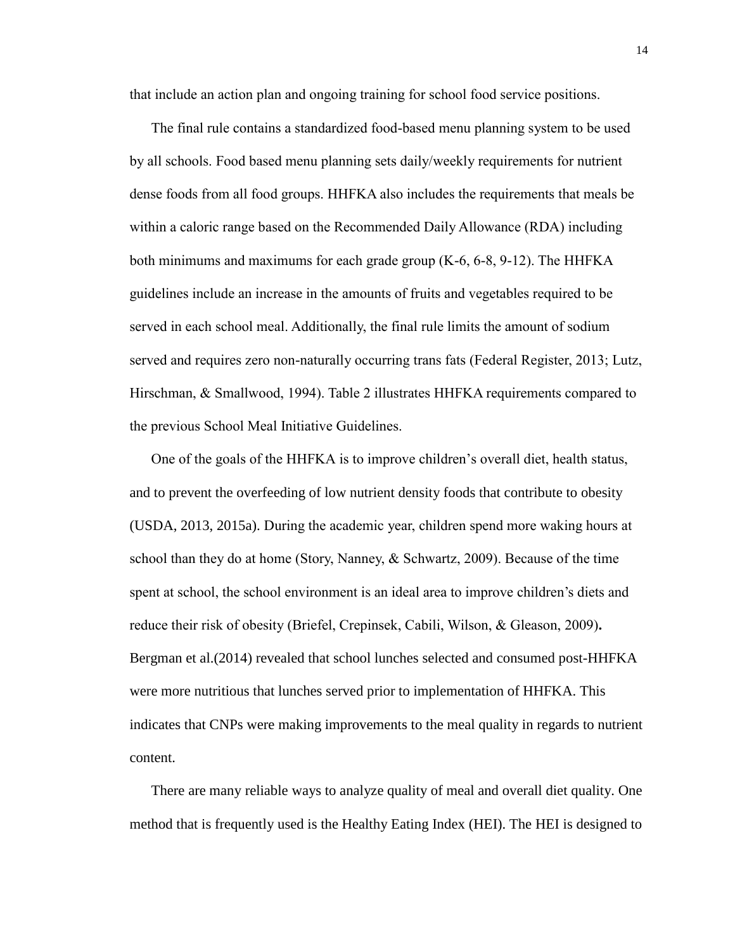that include an action plan and ongoing training for school food service positions.

The final rule contains a standardized food-based menu planning system to be used by all schools. Food based menu planning sets daily/weekly requirements for nutrient dense foods from all food groups. HHFKA also includes the requirements that meals be within a caloric range based on the Recommended Daily Allowance (RDA) including both minimums and maximums for each grade group  $(K-6, 6-8, 9-12)$ . The HHFKA guidelines include an increase in the amounts of fruits and vegetables required to be served in each school meal. Additionally, the final rule limits the amount of sodium served and requires zero non-naturally occurring trans fats (Federal Register, 2013; Lutz, Hirschman, & Smallwood, 1994). Table 2 illustrates HHFKA requirements compared to the previous School Meal Initiative Guidelines.

One of the goals of the HHFKA is to improve children's overall diet, health status, and to prevent the overfeeding of low nutrient density foods that contribute to obesity (USDA, 2013, 2015a). During the academic year, children spend more waking hours at school than they do at home (Story, Nanney,  $\&$  Schwartz, 2009). Because of the time spent at school, the school environment is an ideal area to improve children's diets and reduce their risk of obesity (Briefel, Crepinsek, Cabili, Wilson, & Gleason, 2009)**.**  Bergman et al.(2014) revealed that school lunches selected and consumed post-HHFKA were more nutritious that lunches served prior to implementation of HHFKA. This indicates that CNPs were making improvements to the meal quality in regards to nutrient content.

There are many reliable ways to analyze quality of meal and overall diet quality. One method that is frequently used is the Healthy Eating Index (HEI). The HEI is designed to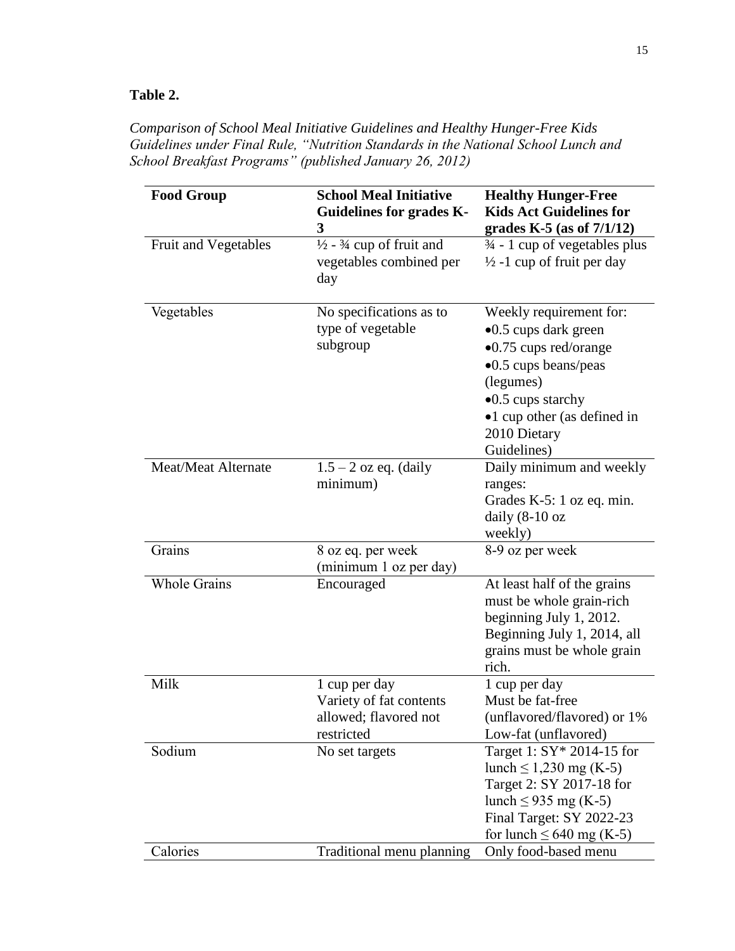# **Table 2.**

*Comparison of School Meal Initiative Guidelines and Healthy Hunger-Free Kids Guidelines under Final Rule, "Nutrition Standards in the National School Lunch and School Breakfast Programs" (published January 26, 2012)*

| <b>Food Group</b>          | <b>School Meal Initiative</b><br><b>Guidelines for grades K-</b><br>3            | <b>Healthy Hunger-Free</b><br><b>Kids Act Guidelines for</b><br>grades K-5 (as of $7/1/12$ )                                                                                                                                |
|----------------------------|----------------------------------------------------------------------------------|-----------------------------------------------------------------------------------------------------------------------------------------------------------------------------------------------------------------------------|
| Fruit and Vegetables       | $\frac{1}{2}$ - $\frac{3}{4}$ cup of fruit and<br>vegetables combined per<br>day | $\frac{3}{4}$ - 1 cup of vegetables plus<br>$\frac{1}{2}$ -1 cup of fruit per day                                                                                                                                           |
| Vegetables                 | No specifications as to<br>type of vegetable<br>subgroup                         | Weekly requirement for:<br>$\bullet$ 0.5 cups dark green<br>$\bullet$ 0.75 cups red/orange<br>•0.5 cups beans/peas<br>(legumes)<br>$\bullet$ 0.5 cups starchy<br>•1 cup other (as defined in<br>2010 Dietary<br>Guidelines) |
| <b>Meat/Meat Alternate</b> | $1.5 - 2$ oz eq. (daily<br>minimum)                                              | Daily minimum and weekly<br>ranges:<br>Grades K-5: 1 oz eq. min.<br>daily $(8-10)$ oz<br>weekly)                                                                                                                            |
| Grains                     | 8 oz eq. per week<br>(minimum 1 oz per day)                                      | 8-9 oz per week                                                                                                                                                                                                             |
| <b>Whole Grains</b>        | Encouraged                                                                       | At least half of the grains<br>must be whole grain-rich<br>beginning July 1, 2012.<br>Beginning July 1, 2014, all<br>grains must be whole grain<br>rich.                                                                    |
| Milk                       | 1 cup per day<br>Variety of fat contents<br>allowed; flavored not<br>restricted  | 1 cup per day<br>Must be fat-free<br>(unflavored/flavored) or 1%<br>Low-fat (unflavored)                                                                                                                                    |
| Sodium                     | No set targets                                                                   | Target 1: SY* 2014-15 for<br>lunch $\leq 1,230$ mg (K-5)<br>Target 2: SY 2017-18 for<br>lunch $\leq$ 935 mg (K-5)<br>Final Target: SY 2022-23<br>for lunch $\leq 640$ mg (K-5)                                              |
| Calories                   | Traditional menu planning                                                        | Only food-based menu                                                                                                                                                                                                        |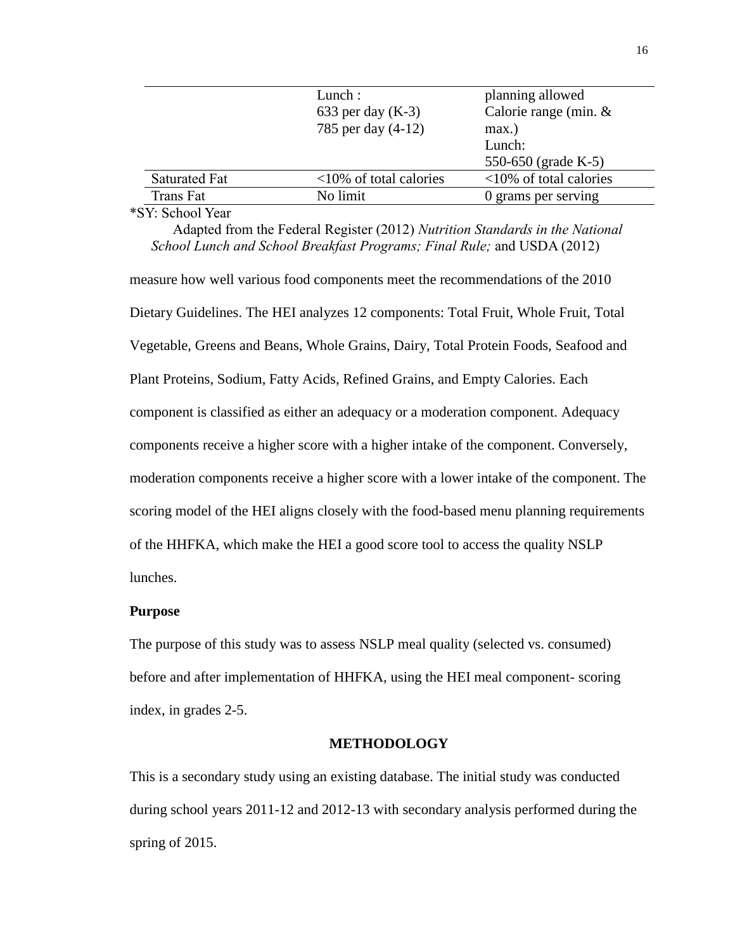|               | Lunch:                    | planning allowed          |
|---------------|---------------------------|---------------------------|
|               | 633 per day $(K-3)$       | Calorie range (min. &     |
|               | 785 per day (4-12)        | $max.$ )                  |
|               |                           | Lunch:                    |
|               |                           | 550-650 (grade K-5)       |
| Saturated Fat | $<10\%$ of total calories | $<10\%$ of total calories |
| Trans Fat     | No limit                  | 0 grams per serving       |
|               |                           |                           |

#### \*SY: School Year

Adapted from the Federal Register (2012) *Nutrition Standards in the National School Lunch and School Breakfast Programs; Final Rule;* and USDA (2012)

measure how well various food components meet the recommendations of the 2010 Dietary Guidelines. The HEI analyzes 12 components: Total Fruit, Whole Fruit, Total Vegetable, Greens and Beans, Whole Grains, Dairy, Total Protein Foods, Seafood and Plant Proteins, Sodium, Fatty Acids, Refined Grains, and Empty Calories. Each component is classified as either an adequacy or a moderation component. Adequacy components receive a higher score with a higher intake of the component. Conversely, moderation components receive a higher score with a lower intake of the component. The scoring model of the HEI aligns closely with the food-based menu planning requirements of the HHFKA, which make the HEI a good score tool to access the quality NSLP lunches.

#### **Purpose**

The purpose of this study was to assess NSLP meal quality (selected vs. consumed) before and after implementation of HHFKA, using the HEI meal component- scoring index, in grades 2-5.

# **METHODOLOGY**

This is a secondary study using an existing database. The initial study was conducted during school years 2011-12 and 2012-13 with secondary analysis performed during the spring of 2015.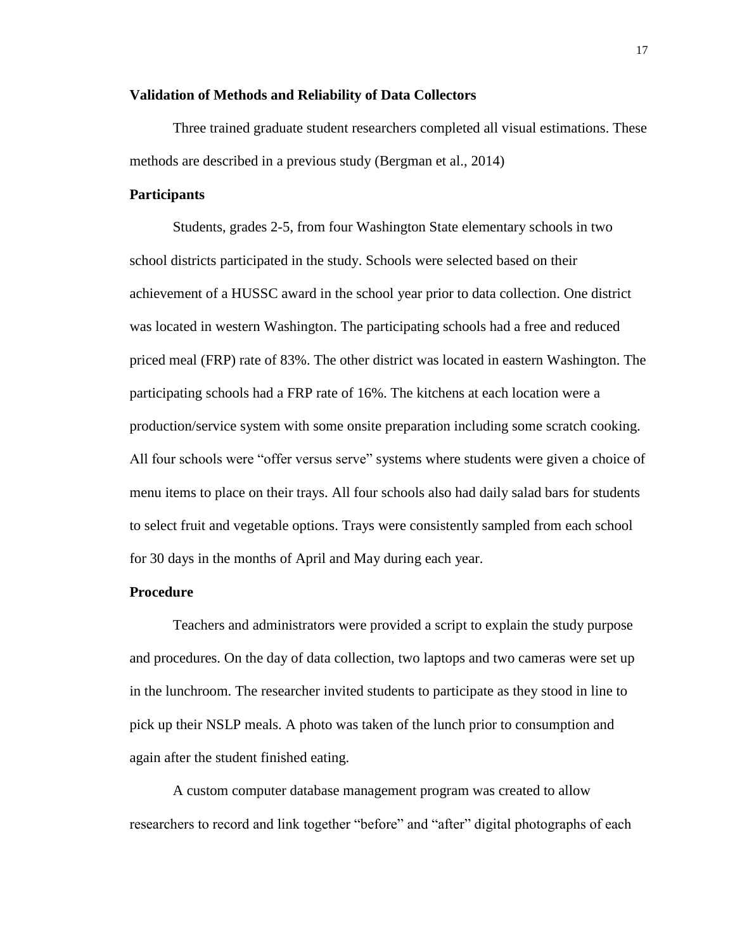#### **Validation of Methods and Reliability of Data Collectors**

Three trained graduate student researchers completed all visual estimations. These methods are described in a previous study (Bergman et al., 2014)

## **Participants**

Students, grades 2-5, from four Washington State elementary schools in two school districts participated in the study. Schools were selected based on their achievement of a HUSSC award in the school year prior to data collection. One district was located in western Washington. The participating schools had a free and reduced priced meal (FRP) rate of 83%. The other district was located in eastern Washington. The participating schools had a FRP rate of 16%. The kitchens at each location were a production/service system with some onsite preparation including some scratch cooking. All four schools were "offer versus serve" systems where students were given a choice of menu items to place on their trays. All four schools also had daily salad bars for students to select fruit and vegetable options. Trays were consistently sampled from each school for 30 days in the months of April and May during each year.

### **Procedure**

Teachers and administrators were provided a script to explain the study purpose and procedures. On the day of data collection, two laptops and two cameras were set up in the lunchroom. The researcher invited students to participate as they stood in line to pick up their NSLP meals. A photo was taken of the lunch prior to consumption and again after the student finished eating.

A custom computer database management program was created to allow researchers to record and link together "before" and "after" digital photographs of each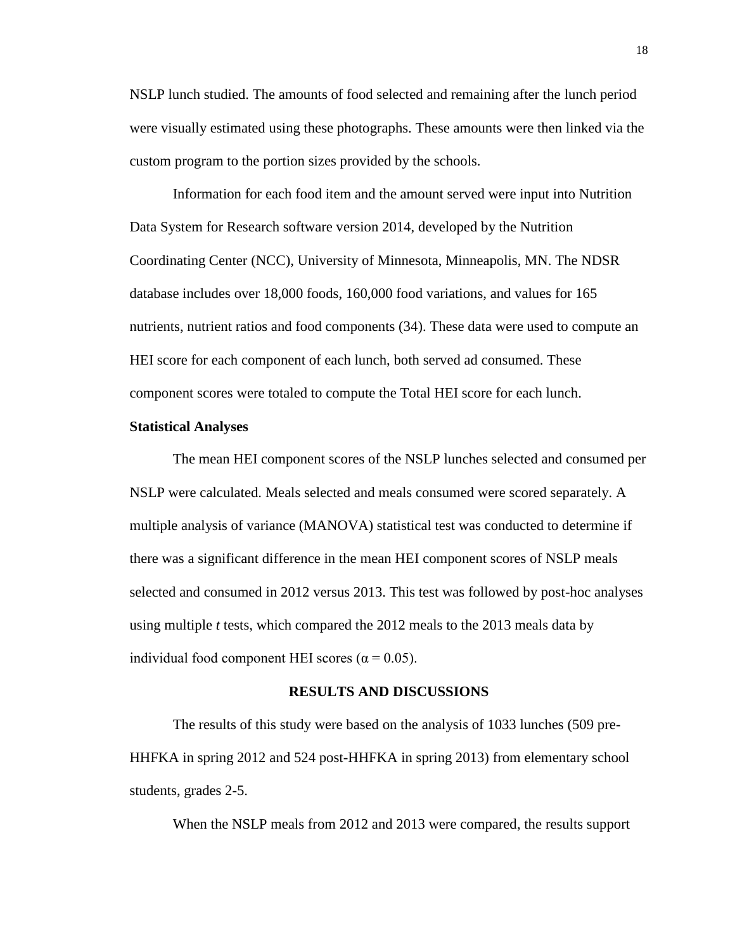NSLP lunch studied. The amounts of food selected and remaining after the lunch period were visually estimated using these photographs. These amounts were then linked via the custom program to the portion sizes provided by the schools.

Information for each food item and the amount served were input into Nutrition Data System for Research software version 2014, developed by the Nutrition Coordinating Center (NCC), University of Minnesota, Minneapolis, MN. The NDSR database includes over 18,000 foods, 160,000 food variations, and values for 165 nutrients, nutrient ratios and food components (34). These data were used to compute an HEI score for each component of each lunch, both served ad consumed. These component scores were totaled to compute the Total HEI score for each lunch.

#### **Statistical Analyses**

The mean HEI component scores of the NSLP lunches selected and consumed per NSLP were calculated. Meals selected and meals consumed were scored separately. A multiple analysis of variance (MANOVA) statistical test was conducted to determine if there was a significant difference in the mean HEI component scores of NSLP meals selected and consumed in 2012 versus 2013. This test was followed by post-hoc analyses using multiple *t* tests, which compared the 2012 meals to the 2013 meals data by individual food component HEI scores ( $\alpha$  = 0.05).

#### **RESULTS AND DISCUSSIONS**

The results of this study were based on the analysis of 1033 lunches (509 pre-HHFKA in spring 2012 and 524 post-HHFKA in spring 2013) from elementary school students, grades 2-5.

When the NSLP meals from 2012 and 2013 were compared, the results support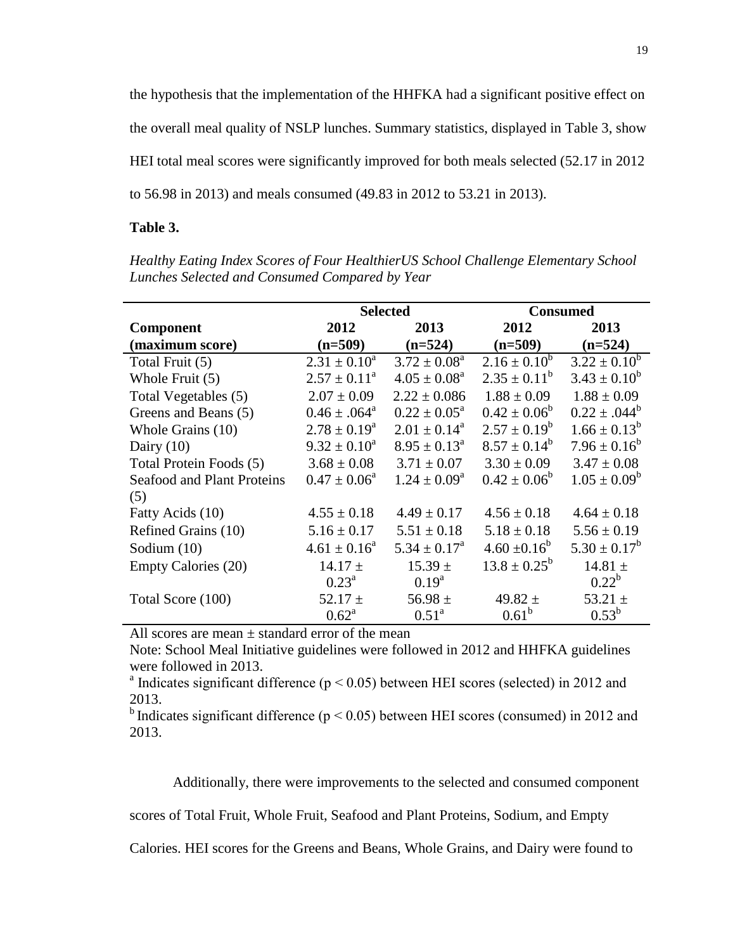the hypothesis that the implementation of the HHFKA had a significant positive effect on the overall meal quality of NSLP lunches. Summary statistics, displayed in Table 3, show HEI total meal scores were significantly improved for both meals selected (52.17 in 2012 to 56.98 in 2013) and meals consumed (49.83 in 2012 to 53.21 in 2013).

### **Table 3.**

*Healthy Eating Index Scores of Four HealthierUS School Challenge Elementary School Lunches Selected and Consumed Compared by Year*

|                            | <b>Selected</b>   |                            | <b>Consumed</b>                |                   |
|----------------------------|-------------------|----------------------------|--------------------------------|-------------------|
| Component                  | 2012              | 2013                       | 2012                           | 2013              |
| (maximum score)            | $(n=509)$         | $(n=524)$                  | $(n=509)$                      | $(n=524)$         |
| Total Fruit (5)            | $2.31 \pm 0.10^a$ | $3.72 \pm 0.08^a$          | $2.16 \pm 0.10^{\overline{b}}$ | $3.22 \pm 0.10^b$ |
| Whole Fruit (5)            | $2.57 \pm 0.11^a$ | $4.05 \pm 0.08^a$          | $2.35 \pm 0.11^b$              | $3.43 \pm 0.10^b$ |
| Total Vegetables (5)       | $2.07 \pm 0.09$   | $2.22 \pm 0.086$           | $1.88 \pm 0.09$                | $1.88 \pm 0.09$   |
| Greens and Beans (5)       | $0.46 \pm .064^a$ | $0.22 \pm 0.05^{\text{a}}$ | $0.42 \pm 0.06^b$              | $0.22 \pm .044^b$ |
| Whole Grains (10)          | $2.78 \pm 0.19^a$ | $2.01 \pm 0.14^{\text{a}}$ | $2.57 \pm 0.19^b$              | $1.66 \pm 0.13^b$ |
| Dairy $(10)$               | $9.32 \pm 0.10^a$ | $8.95 \pm 0.13^{\circ}$    | $8.57 \pm 0.14^b$              | $7.96 \pm 0.16^b$ |
| Total Protein Foods (5)    | $3.68 \pm 0.08$   | $3.71 \pm 0.07$            | $3.30 \pm 0.09$                | $3.47 \pm 0.08$   |
| Seafood and Plant Proteins | $0.47 \pm 0.06^a$ | $1.24 \pm 0.09^{\rm a}$    | $0.42 \pm 0.06^b$              | $1.05 \pm 0.09^b$ |
| (5)                        |                   |                            |                                |                   |
| Fatty Acids (10)           | $4.55 \pm 0.18$   | $4.49 \pm 0.17$            | $4.56 \pm 0.18$                | $4.64 \pm 0.18$   |
| Refined Grains (10)        | $5.16 \pm 0.17$   | $5.51 \pm 0.18$            | $5.18 \pm 0.18$                | $5.56 \pm 0.19$   |
| Sodium $(10)$              | $4.61 \pm 0.16^a$ | $5.34 \pm 0.17^{\rm a}$    | $4.60 \pm 0.16^b$              | $5.30 \pm 0.17^b$ |
| <b>Empty Calories (20)</b> | $14.17 \pm$       | $15.39 \pm$                | $13.8 \pm 0.25^b$              | 14.81 $\pm$       |
|                            | $0.23^{\rm a}$    | $0.19^{a}$                 |                                | $0.22^b$          |
| Total Score (100)          | 52.17 $\pm$       | 56.98 $\pm$                | 49.82 $\pm$                    | 53.21 $\pm$       |
|                            | $0.62^{\rm a}$    | $0.51^{\rm a}$             | $0.61^b$                       | $0.53^{\rm b}$    |

All scores are mean  $\pm$  standard error of the mean

Note: School Meal Initiative guidelines were followed in 2012 and HHFKA guidelines were followed in 2013.

<sup>a</sup> Indicates significant difference ( $p < 0.05$ ) between HEI scores (selected) in 2012 and 2013.

<sup>b</sup>Indicates significant difference ( $p < 0.05$ ) between HEI scores (consumed) in 2012 and 2013.

Additionally, there were improvements to the selected and consumed component

scores of Total Fruit, Whole Fruit, Seafood and Plant Proteins, Sodium, and Empty

Calories. HEI scores for the Greens and Beans, Whole Grains, and Dairy were found to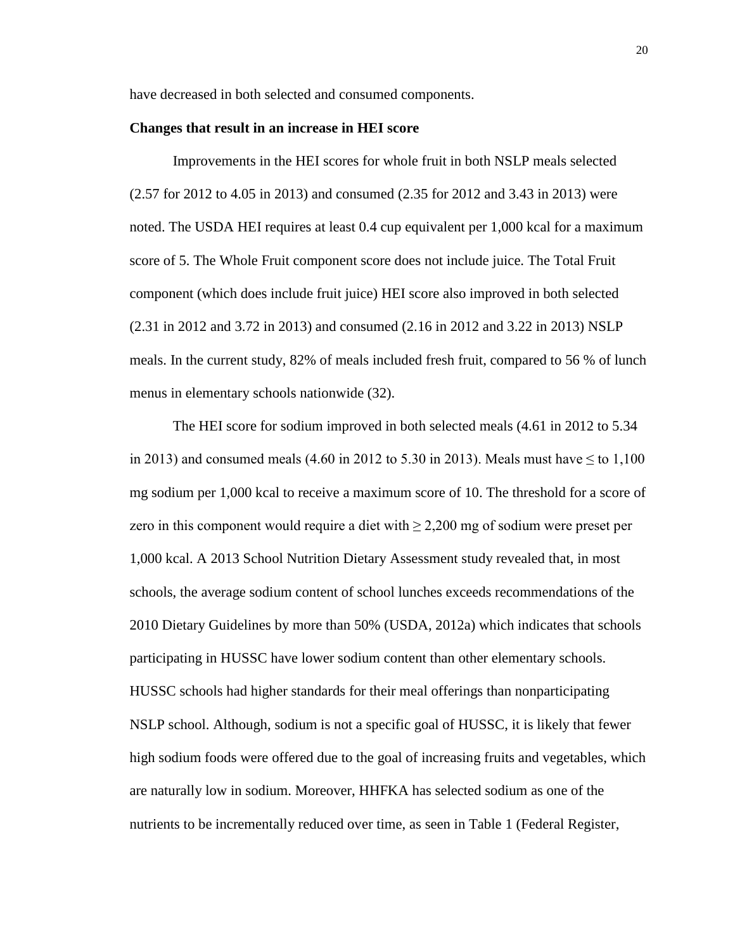have decreased in both selected and consumed components.

#### **Changes that result in an increase in HEI score**

Improvements in the HEI scores for whole fruit in both NSLP meals selected (2.57 for 2012 to 4.05 in 2013) and consumed (2.35 for 2012 and 3.43 in 2013) were noted. The USDA HEI requires at least 0.4 cup equivalent per 1,000 kcal for a maximum score of 5. The Whole Fruit component score does not include juice. The Total Fruit component (which does include fruit juice) HEI score also improved in both selected (2.31 in 2012 and 3.72 in 2013) and consumed (2.16 in 2012 and 3.22 in 2013) NSLP meals. In the current study, 82% of meals included fresh fruit, compared to 56 % of lunch menus in elementary schools nationwide (32).

The HEI score for sodium improved in both selected meals (4.61 in 2012 to 5.34 in 2013) and consumed meals (4.60 in 2012 to 5.30 in 2013). Meals must have  $\leq$  to 1,100 mg sodium per 1,000 kcal to receive a maximum score of 10. The threshold for a score of zero in this component would require a diet with  $\geq 2,200$  mg of sodium were preset per 1,000 kcal. A 2013 School Nutrition Dietary Assessment study revealed that, in most schools, the average sodium content of school lunches exceeds recommendations of the 2010 Dietary Guidelines by more than 50% (USDA, 2012a) which indicates that schools participating in HUSSC have lower sodium content than other elementary schools. HUSSC schools had higher standards for their meal offerings than nonparticipating NSLP school. Although, sodium is not a specific goal of HUSSC, it is likely that fewer high sodium foods were offered due to the goal of increasing fruits and vegetables, which are naturally low in sodium. Moreover, HHFKA has selected sodium as one of the nutrients to be incrementally reduced over time, as seen in Table 1 (Federal Register,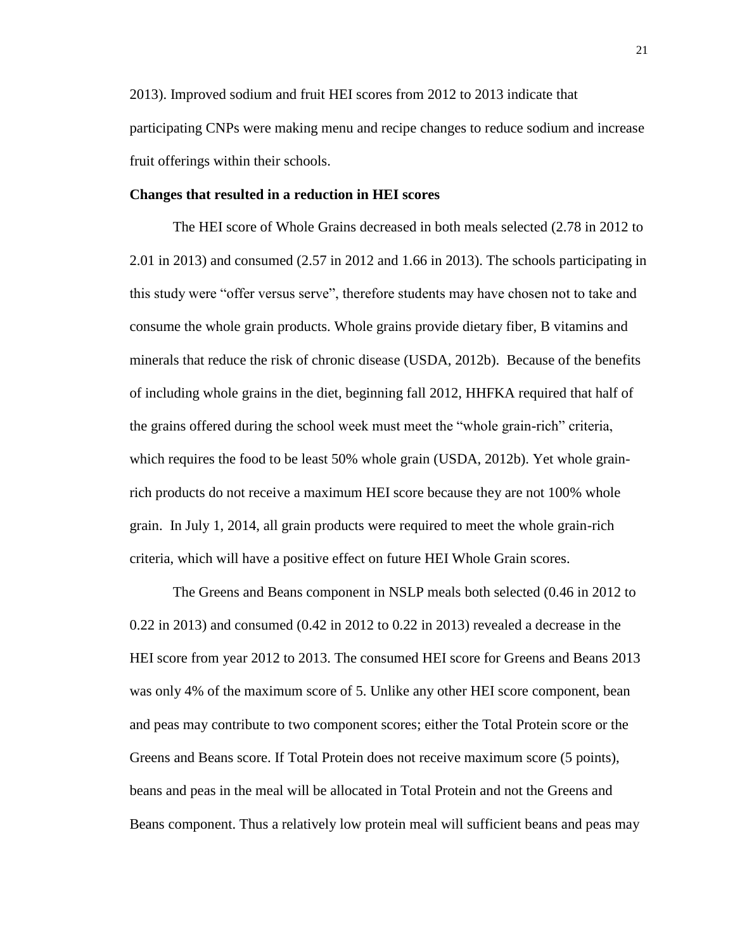2013). Improved sodium and fruit HEI scores from 2012 to 2013 indicate that participating CNPs were making menu and recipe changes to reduce sodium and increase fruit offerings within their schools.

## **Changes that resulted in a reduction in HEI scores**

The HEI score of Whole Grains decreased in both meals selected (2.78 in 2012 to 2.01 in 2013) and consumed (2.57 in 2012 and 1.66 in 2013). The schools participating in this study were "offer versus serve", therefore students may have chosen not to take and consume the whole grain products. Whole grains provide dietary fiber, B vitamins and minerals that reduce the risk of chronic disease (USDA, 2012b).Because of the benefits of including whole grains in the diet, beginning fall 2012, HHFKA required that half of the grains offered during the school week must meet the "whole grain-rich" criteria, which requires the food to be least 50% whole grain (USDA, 2012b). Yet whole grainrich products do not receive a maximum HEI score because they are not 100% whole grain. In July 1, 2014, all grain products were required to meet the whole grain-rich criteria, which will have a positive effect on future HEI Whole Grain scores.

The Greens and Beans component in NSLP meals both selected (0.46 in 2012 to  $0.22$  in 2013) and consumed  $(0.42$  in 2012 to  $0.22$  in 2013) revealed a decrease in the HEI score from year 2012 to 2013. The consumed HEI score for Greens and Beans 2013 was only 4% of the maximum score of 5. Unlike any other HEI score component, bean and peas may contribute to two component scores; either the Total Protein score or the Greens and Beans score. If Total Protein does not receive maximum score (5 points), beans and peas in the meal will be allocated in Total Protein and not the Greens and Beans component. Thus a relatively low protein meal will sufficient beans and peas may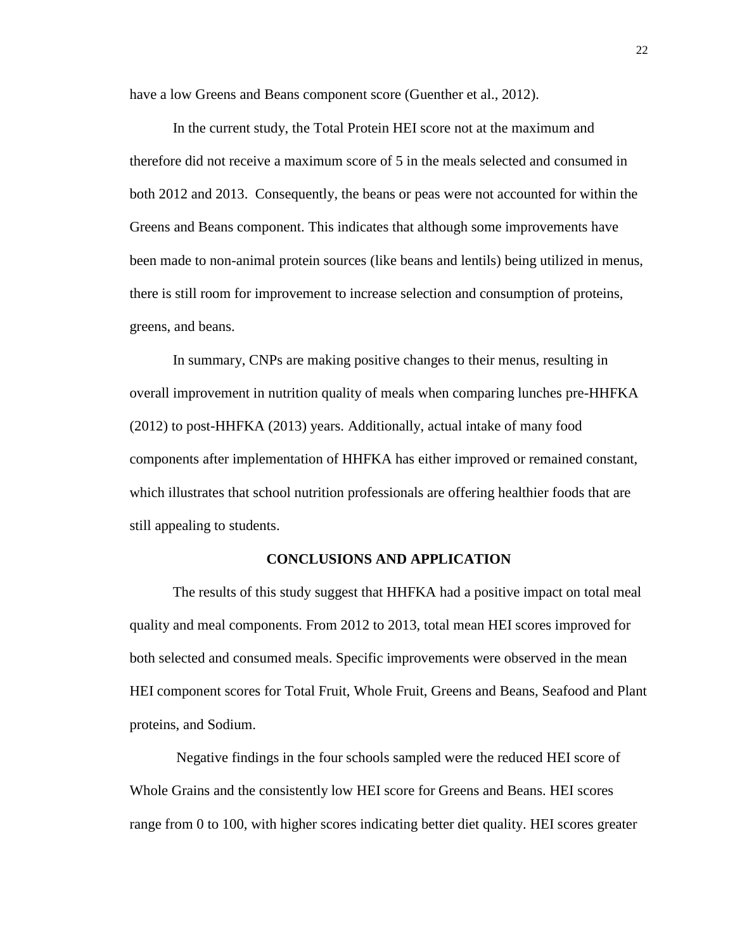have a low Greens and Beans component score (Guenther et al., 2012).

In the current study, the Total Protein HEI score not at the maximum and therefore did not receive a maximum score of 5 in the meals selected and consumed in both 2012 and 2013. Consequently, the beans or peas were not accounted for within the Greens and Beans component. This indicates that although some improvements have been made to non-animal protein sources (like beans and lentils) being utilized in menus, there is still room for improvement to increase selection and consumption of proteins, greens, and beans.

In summary, CNPs are making positive changes to their menus, resulting in overall improvement in nutrition quality of meals when comparing lunches pre-HHFKA (2012) to post-HHFKA (2013) years. Additionally, actual intake of many food components after implementation of HHFKA has either improved or remained constant, which illustrates that school nutrition professionals are offering healthier foods that are still appealing to students.

### **CONCLUSIONS AND APPLICATION**

The results of this study suggest that HHFKA had a positive impact on total meal quality and meal components. From 2012 to 2013, total mean HEI scores improved for both selected and consumed meals. Specific improvements were observed in the mean HEI component scores for Total Fruit, Whole Fruit, Greens and Beans, Seafood and Plant proteins, and Sodium.

Negative findings in the four schools sampled were the reduced HEI score of Whole Grains and the consistently low HEI score for Greens and Beans. HEI scores range from 0 to 100, with higher scores indicating better diet quality. HEI scores greater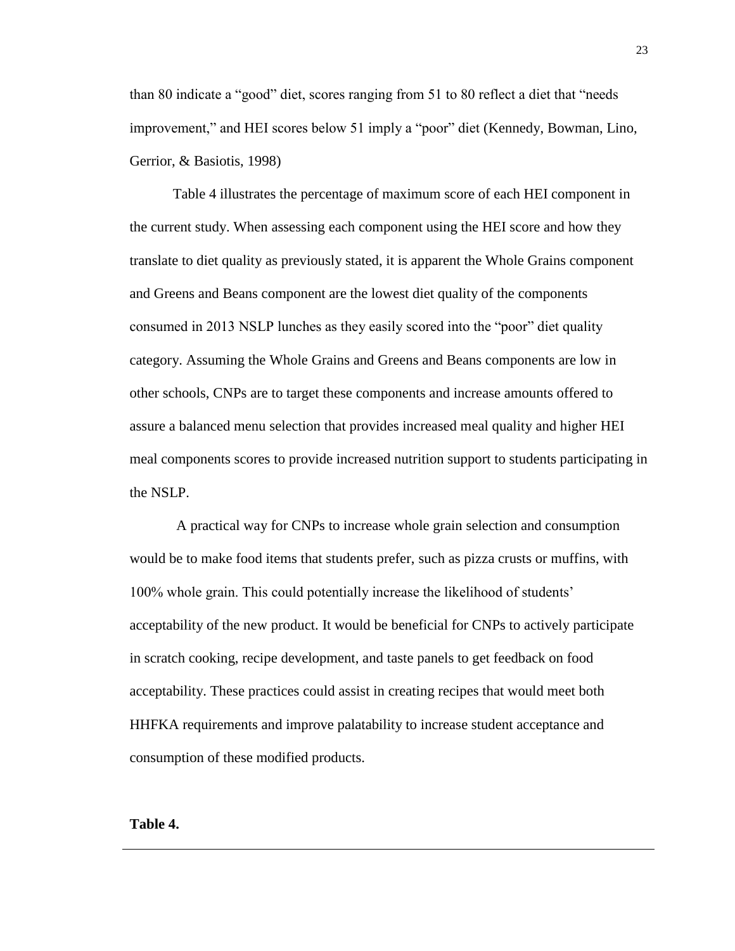than 80 indicate a "good" diet, scores ranging from 51 to 80 reflect a diet that "needs improvement," and HEI scores below 51 imply a "poor" diet (Kennedy, Bowman, Lino, Gerrior, & Basiotis, 1998)

Table 4 illustrates the percentage of maximum score of each HEI component in the current study. When assessing each component using the HEI score and how they translate to diet quality as previously stated, it is apparent the Whole Grains component and Greens and Beans component are the lowest diet quality of the components consumed in 2013 NSLP lunches as they easily scored into the "poor" diet quality category. Assuming the Whole Grains and Greens and Beans components are low in other schools, CNPs are to target these components and increase amounts offered to assure a balanced menu selection that provides increased meal quality and higher HEI meal components scores to provide increased nutrition support to students participating in the NSLP.

A practical way for CNPs to increase whole grain selection and consumption would be to make food items that students prefer, such as pizza crusts or muffins, with 100% whole grain. This could potentially increase the likelihood of students' acceptability of the new product. It would be beneficial for CNPs to actively participate in scratch cooking, recipe development, and taste panels to get feedback on food acceptability. These practices could assist in creating recipes that would meet both HHFKA requirements and improve palatability to increase student acceptance and consumption of these modified products.

**Table 4.**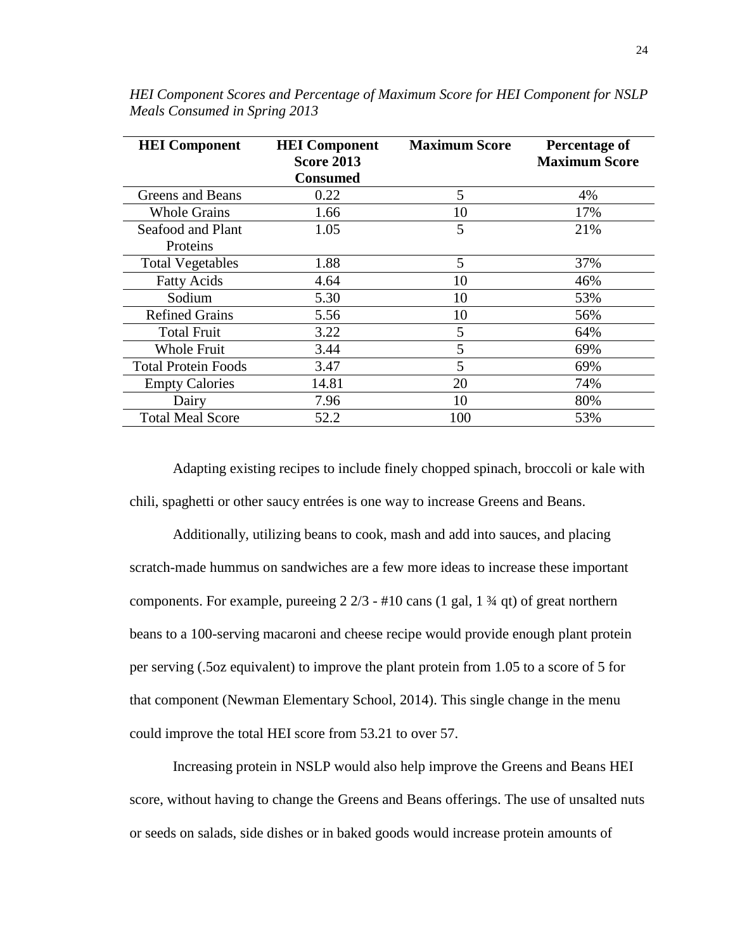| <b>HEI</b> Component       | <b>Maximum Score</b><br><b>HEI</b> Component |     | Percentage of        |
|----------------------------|----------------------------------------------|-----|----------------------|
|                            | <b>Score 2013</b>                            |     | <b>Maximum Score</b> |
|                            | <b>Consumed</b>                              |     |                      |
| Greens and Beans           | 0.22                                         | 5   | 4%                   |
| <b>Whole Grains</b>        | 1.66                                         | 10  | 17%                  |
| Seafood and Plant          | 1.05                                         | 5   | 21%                  |
| Proteins                   |                                              |     |                      |
| <b>Total Vegetables</b>    | 1.88                                         | 5   | 37%                  |
| <b>Fatty Acids</b>         | 4.64                                         | 10  | 46%                  |
| Sodium                     | 5.30                                         | 10  | 53%                  |
| <b>Refined Grains</b>      | 5.56                                         | 10  | 56%                  |
| <b>Total Fruit</b>         | 3.22                                         | 5   | 64%                  |
| <b>Whole Fruit</b>         | 3.44                                         | 5   | 69%                  |
| <b>Total Protein Foods</b> | 3.47                                         | 5   | 69%                  |
| <b>Empty Calories</b>      | 14.81                                        | 20  | 74%                  |
| Dairy                      | 7.96                                         | 10  | 80%                  |
| <b>Total Meal Score</b>    | 52.2                                         | 100 | 53%                  |

*HEI Component Scores and Percentage of Maximum Score for HEI Component for NSLP Meals Consumed in Spring 2013*

Adapting existing recipes to include finely chopped spinach, broccoli or kale with chili, spaghetti or other saucy entrées is one way to increase Greens and Beans.

Additionally, utilizing beans to cook, mash and add into sauces, and placing scratch-made hummus on sandwiches are a few more ideas to increase these important components. For example, pureeing  $2\frac{2}{3}$  - #10 cans (1 gal, 1  $\frac{3}{4}$  qt) of great northern beans to a 100-serving macaroni and cheese recipe would provide enough plant protein per serving (.5oz equivalent) to improve the plant protein from 1.05 to a score of 5 for that component (Newman Elementary School, 2014). This single change in the menu could improve the total HEI score from 53.21 to over 57.

Increasing protein in NSLP would also help improve the Greens and Beans HEI score, without having to change the Greens and Beans offerings. The use of unsalted nuts or seeds on salads, side dishes or in baked goods would increase protein amounts of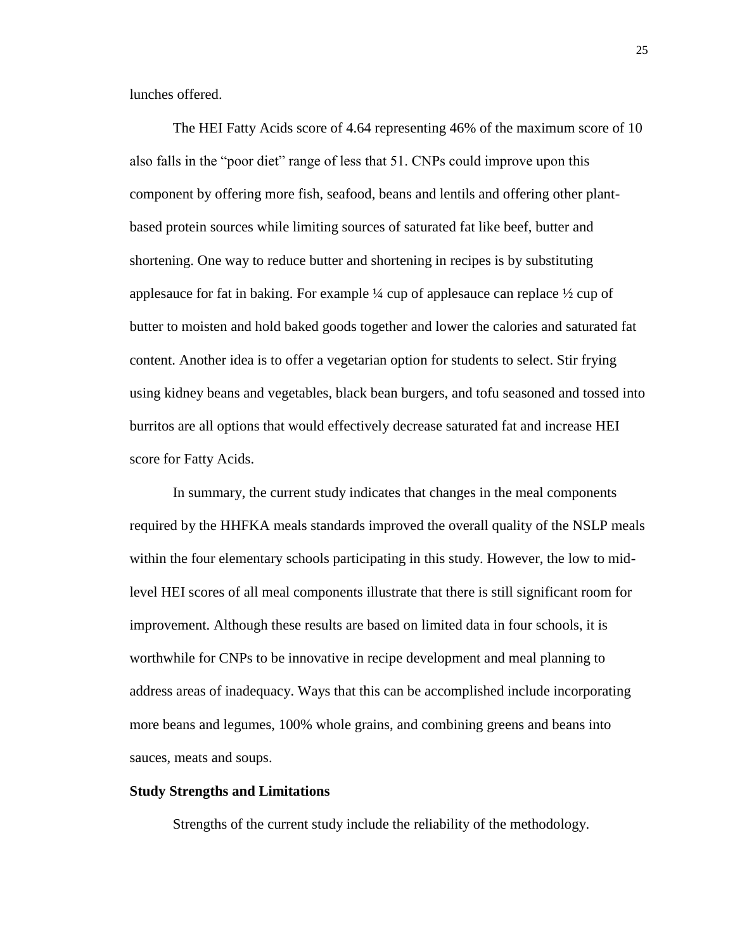lunches offered.

The HEI Fatty Acids score of 4.64 representing 46% of the maximum score of 10 also falls in the "poor diet" range of less that 51. CNPs could improve upon this component by offering more fish, seafood, beans and lentils and offering other plantbased protein sources while limiting sources of saturated fat like beef, butter and shortening. One way to reduce butter and shortening in recipes is by substituting applesauce for fat in baking. For example ¼ cup of applesauce can replace ½ cup of butter to moisten and hold baked goods together and lower the calories and saturated fat content. Another idea is to offer a vegetarian option for students to select. Stir frying using kidney beans and vegetables, black bean burgers, and tofu seasoned and tossed into burritos are all options that would effectively decrease saturated fat and increase HEI score for Fatty Acids.

In summary, the current study indicates that changes in the meal components required by the HHFKA meals standards improved the overall quality of the NSLP meals within the four elementary schools participating in this study. However, the low to midlevel HEI scores of all meal components illustrate that there is still significant room for improvement. Although these results are based on limited data in four schools, it is worthwhile for CNPs to be innovative in recipe development and meal planning to address areas of inadequacy. Ways that this can be accomplished include incorporating more beans and legumes, 100% whole grains, and combining greens and beans into sauces, meats and soups.

## **Study Strengths and Limitations**

Strengths of the current study include the reliability of the methodology.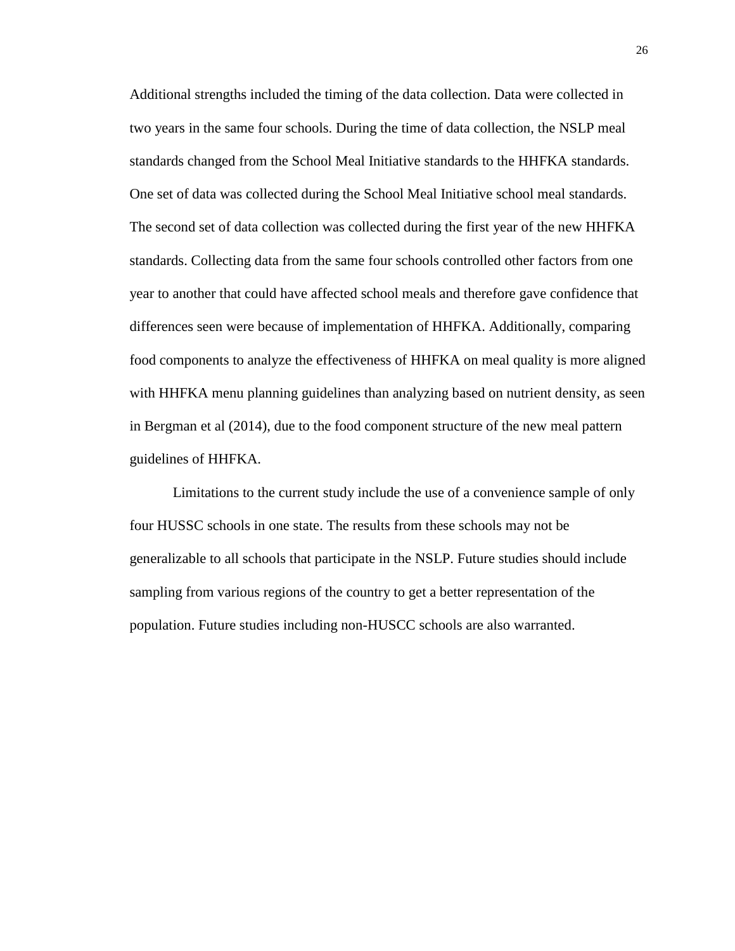Additional strengths included the timing of the data collection. Data were collected in two years in the same four schools. During the time of data collection, the NSLP meal standards changed from the School Meal Initiative standards to the HHFKA standards. One set of data was collected during the School Meal Initiative school meal standards. The second set of data collection was collected during the first year of the new HHFKA standards. Collecting data from the same four schools controlled other factors from one year to another that could have affected school meals and therefore gave confidence that differences seen were because of implementation of HHFKA. Additionally, comparing food components to analyze the effectiveness of HHFKA on meal quality is more aligned with HHFKA menu planning guidelines than analyzing based on nutrient density, as seen in Bergman et al (2014), due to the food component structure of the new meal pattern guidelines of HHFKA.

Limitations to the current study include the use of a convenience sample of only four HUSSC schools in one state. The results from these schools may not be generalizable to all schools that participate in the NSLP. Future studies should include sampling from various regions of the country to get a better representation of the population. Future studies including non-HUSCC schools are also warranted.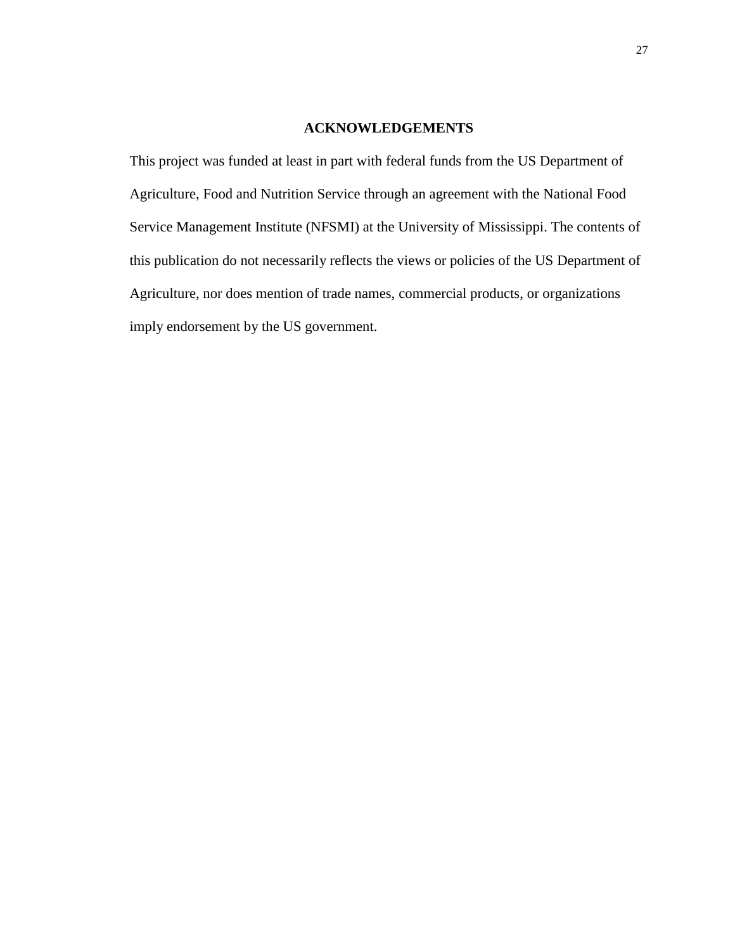## **ACKNOWLEDGEMENTS**

This project was funded at least in part with federal funds from the US Department of Agriculture, Food and Nutrition Service through an agreement with the National Food Service Management Institute (NFSMI) at the University of Mississippi. The contents of this publication do not necessarily reflects the views or policies of the US Department of Agriculture, nor does mention of trade names, commercial products, or organizations imply endorsement by the US government.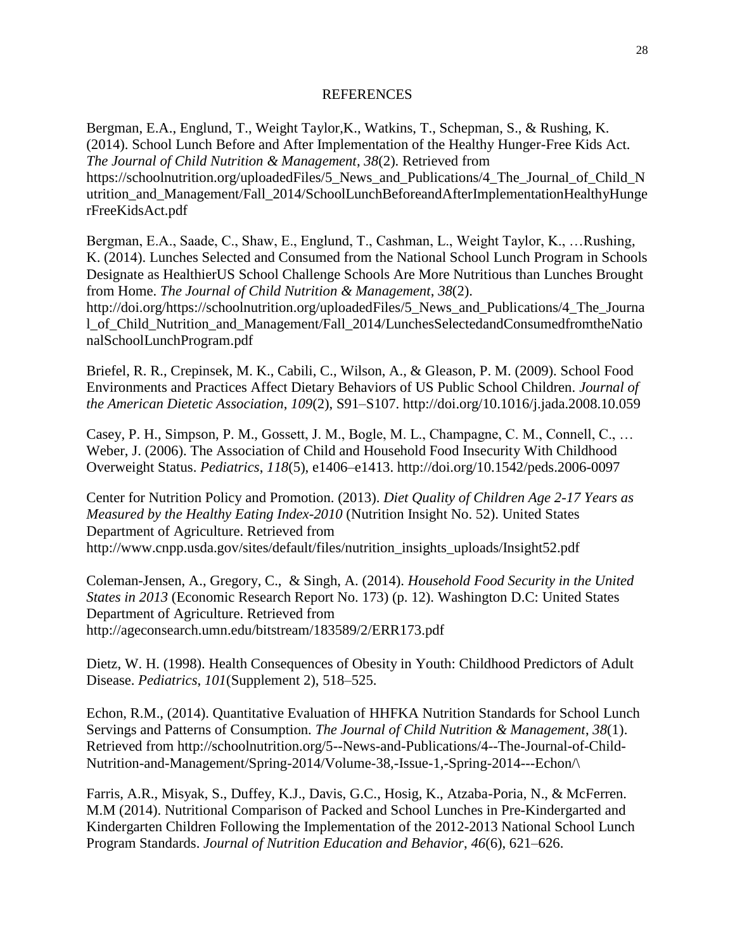#### REFERENCES

Bergman, E.A., Englund, T., Weight Taylor,K., Watkins, T., Schepman, S., & Rushing, K. (2014). School Lunch Before and After Implementation of the Healthy Hunger-Free Kids Act. *The Journal of Child Nutrition & Management*, *38*(2). Retrieved from https://schoolnutrition.org/uploadedFiles/5\_News\_and\_Publications/4\_The\_Journal\_of\_Child\_N utrition and Management/Fall 2014/SchoolLunchBeforeandAfterImplementationHealthyHunge rFreeKidsAct.pdf

Bergman, E.A., Saade, C., Shaw, E., Englund, T., Cashman, L., Weight Taylor, K., …Rushing, K. (2014). Lunches Selected and Consumed from the National School Lunch Program in Schools Designate as HealthierUS School Challenge Schools Are More Nutritious than Lunches Brought from Home. *The Journal of Child Nutrition & Management*, *38*(2).

http://doi.org/https://schoolnutrition.org/uploadedFiles/5\_News\_and\_Publications/4\_The\_Journa l\_of\_Child\_Nutrition\_and\_Management/Fall\_2014/LunchesSelectedandConsumedfromtheNatio nalSchoolLunchProgram.pdf

Briefel, R. R., Crepinsek, M. K., Cabili, C., Wilson, A., & Gleason, P. M. (2009). School Food Environments and Practices Affect Dietary Behaviors of US Public School Children. *Journal of the American Dietetic Association*, *109*(2), S91–S107. http://doi.org/10.1016/j.jada.2008.10.059

Casey, P. H., Simpson, P. M., Gossett, J. M., Bogle, M. L., Champagne, C. M., Connell, C., … Weber, J. (2006). The Association of Child and Household Food Insecurity With Childhood Overweight Status. *Pediatrics*, *118*(5), e1406–e1413. http://doi.org/10.1542/peds.2006-0097

Center for Nutrition Policy and Promotion. (2013). *Diet Quality of Children Age 2-17 Years as Measured by the Healthy Eating Index-2010* (Nutrition Insight No. 52). United States Department of Agriculture. Retrieved from http://www.cnpp.usda.gov/sites/default/files/nutrition\_insights\_uploads/Insight52.pdf

Coleman-Jensen, A., Gregory, C., & Singh, A. (2014). *Household Food Security in the United States in 2013* (Economic Research Report No. 173) (p. 12). Washington D.C: United States Department of Agriculture. Retrieved from http://ageconsearch.umn.edu/bitstream/183589/2/ERR173.pdf

Dietz, W. H. (1998). Health Consequences of Obesity in Youth: Childhood Predictors of Adult Disease. *Pediatrics*, *101*(Supplement 2), 518–525.

Echon, R.M., (2014). Quantitative Evaluation of HHFKA Nutrition Standards for School Lunch Servings and Patterns of Consumption. *The Journal of Child Nutrition & Management*, *38*(1). Retrieved from http://schoolnutrition.org/5--News-and-Publications/4--The-Journal-of-Child-Nutrition-and-Management/Spring-2014/Volume-38,-Issue-1,-Spring-2014---Echon/\

Farris, A.R., Misyak, S., Duffey, K.J., Davis, G.C., Hosig, K., Atzaba-Poria, N., & McFerren. M.M (2014). Nutritional Comparison of Packed and School Lunches in Pre-Kindergarted and Kindergarten Children Following the Implementation of the 2012-2013 National School Lunch Program Standards. *Journal of Nutrition Education and Behavior*, *46*(6), 621–626.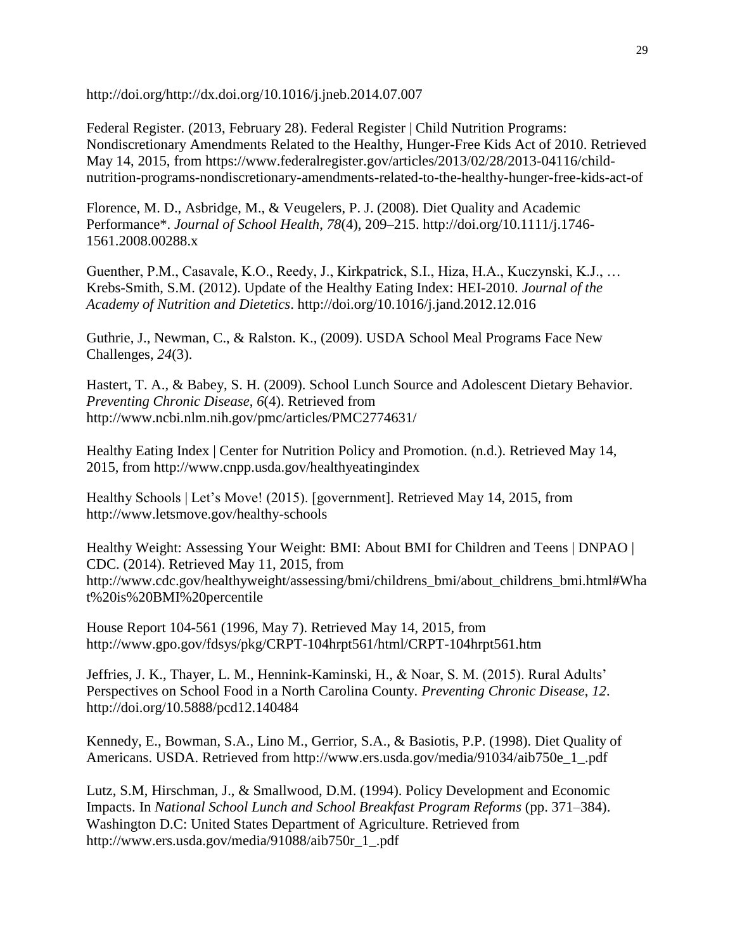http://doi.org/http://dx.doi.org/10.1016/j.jneb.2014.07.007

Federal Register. (2013, February 28). Federal Register | Child Nutrition Programs: Nondiscretionary Amendments Related to the Healthy, Hunger-Free Kids Act of 2010. Retrieved May 14, 2015, from https://www.federalregister.gov/articles/2013/02/28/2013-04116/childnutrition-programs-nondiscretionary-amendments-related-to-the-healthy-hunger-free-kids-act-of

Florence, M. D., Asbridge, M., & Veugelers, P. J. (2008). Diet Quality and Academic Performance\*. *Journal of School Health*, *78*(4), 209–215. http://doi.org/10.1111/j.1746- 1561.2008.00288.x

Guenther, P.M., Casavale, K.O., Reedy, J., Kirkpatrick, S.I., Hiza, H.A., Kuczynski, K.J., … Krebs-Smith, S.M. (2012). Update of the Healthy Eating Index: HEI-2010. *Journal of the Academy of Nutrition and Dietetics*. http://doi.org/10.1016/j.jand.2012.12.016

Guthrie, J., Newman, C., & Ralston. K., (2009). USDA School Meal Programs Face New Challenges, *24*(3).

Hastert, T. A., & Babey, S. H. (2009). School Lunch Source and Adolescent Dietary Behavior. *Preventing Chronic Disease*, *6*(4). Retrieved from http://www.ncbi.nlm.nih.gov/pmc/articles/PMC2774631/

Healthy Eating Index | Center for Nutrition Policy and Promotion. (n.d.). Retrieved May 14, 2015, from http://www.cnpp.usda.gov/healthyeatingindex

Healthy Schools | Let's Move! (2015). [government]. Retrieved May 14, 2015, from http://www.letsmove.gov/healthy-schools

Healthy Weight: Assessing Your Weight: BMI: About BMI for Children and Teens | DNPAO | CDC. (2014). Retrieved May 11, 2015, from http://www.cdc.gov/healthyweight/assessing/bmi/childrens\_bmi/about\_childrens\_bmi.html#Wha t%20is%20BMI%20percentile

House Report 104-561 (1996, May 7). Retrieved May 14, 2015, from http://www.gpo.gov/fdsys/pkg/CRPT-104hrpt561/html/CRPT-104hrpt561.htm

Jeffries, J. K., Thayer, L. M., Hennink-Kaminski, H., & Noar, S. M. (2015). Rural Adults' Perspectives on School Food in a North Carolina County. *Preventing Chronic Disease*, *12*. http://doi.org/10.5888/pcd12.140484

Kennedy, E., Bowman, S.A., Lino M., Gerrior, S.A., & Basiotis, P.P. (1998). Diet Quality of Americans. USDA. Retrieved from http://www.ers.usda.gov/media/91034/aib750e\_1\_.pdf

Lutz, S.M, Hirschman, J., & Smallwood, D.M. (1994). Policy Development and Economic Impacts. In *National School Lunch and School Breakfast Program Reforms* (pp. 371–384). Washington D.C: United States Department of Agriculture. Retrieved from http://www.ers.usda.gov/media/91088/aib750r\_1\_.pdf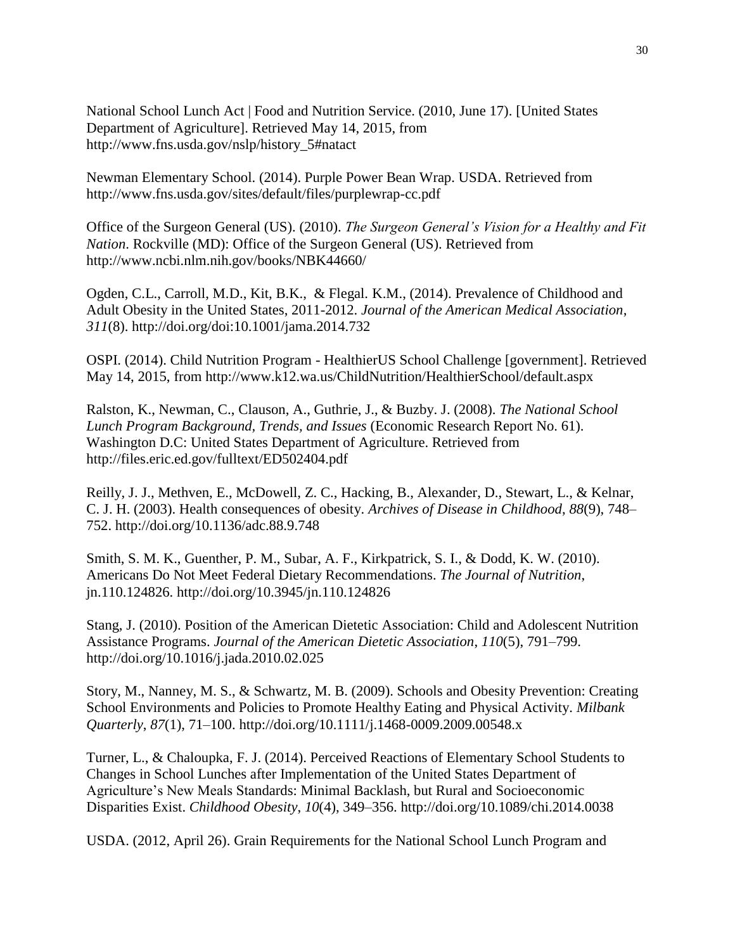National School Lunch Act | Food and Nutrition Service. (2010, June 17). [United States Department of Agriculture]. Retrieved May 14, 2015, from http://www.fns.usda.gov/nslp/history\_5#natact

Newman Elementary School. (2014). Purple Power Bean Wrap. USDA. Retrieved from http://www.fns.usda.gov/sites/default/files/purplewrap-cc.pdf

Office of the Surgeon General (US). (2010). *The Surgeon General's Vision for a Healthy and Fit Nation*. Rockville (MD): Office of the Surgeon General (US). Retrieved from http://www.ncbi.nlm.nih.gov/books/NBK44660/

Ogden, C.L., Carroll, M.D., Kit, B.K., & Flegal. K.M., (2014). Prevalence of Childhood and Adult Obesity in the United States, 2011-2012. *Journal of the American Medical Association*, *311*(8). http://doi.org/doi:10.1001/jama.2014.732

OSPI. (2014). Child Nutrition Program - HealthierUS School Challenge [government]. Retrieved May 14, 2015, from http://www.k12.wa.us/ChildNutrition/HealthierSchool/default.aspx

Ralston, K., Newman, C., Clauson, A., Guthrie, J., & Buzby. J. (2008). *The National School Lunch Program Background, Trends, and Issues* (Economic Research Report No. 61). Washington D.C: United States Department of Agriculture. Retrieved from http://files.eric.ed.gov/fulltext/ED502404.pdf

Reilly, J. J., Methven, E., McDowell, Z. C., Hacking, B., Alexander, D., Stewart, L., & Kelnar, C. J. H. (2003). Health consequences of obesity. *Archives of Disease in Childhood*, *88*(9), 748– 752. http://doi.org/10.1136/adc.88.9.748

Smith, S. M. K., Guenther, P. M., Subar, A. F., Kirkpatrick, S. I., & Dodd, K. W. (2010). Americans Do Not Meet Federal Dietary Recommendations. *The Journal of Nutrition*, jn.110.124826. http://doi.org/10.3945/jn.110.124826

Stang, J. (2010). Position of the American Dietetic Association: Child and Adolescent Nutrition Assistance Programs. *Journal of the American Dietetic Association*, *110*(5), 791–799. http://doi.org/10.1016/j.jada.2010.02.025

Story, M., Nanney, M. S., & Schwartz, M. B. (2009). Schools and Obesity Prevention: Creating School Environments and Policies to Promote Healthy Eating and Physical Activity. *Milbank Quarterly*, *87*(1), 71–100. http://doi.org/10.1111/j.1468-0009.2009.00548.x

Turner, L., & Chaloupka, F. J. (2014). Perceived Reactions of Elementary School Students to Changes in School Lunches after Implementation of the United States Department of Agriculture's New Meals Standards: Minimal Backlash, but Rural and Socioeconomic Disparities Exist. *Childhood Obesity*, *10*(4), 349–356. http://doi.org/10.1089/chi.2014.0038

USDA. (2012, April 26). Grain Requirements for the National School Lunch Program and